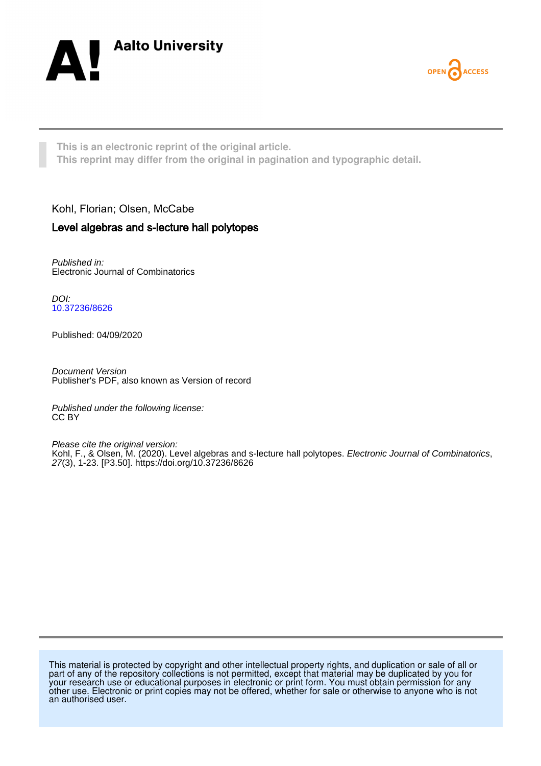



**This is an electronic reprint of the original article. This reprint may differ from the original in pagination and typographic detail.**

## Kohl, Florian; Olsen, McCabe

## Level algebras and s-lecture hall polytopes

Published in: Electronic Journal of Combinatorics

DOI: [10.37236/8626](https://doi.org/10.37236/8626)

Published: 04/09/2020

Document Version Publisher's PDF, also known as Version of record

Published under the following license: CC BY

Please cite the original version: Kohl, F., & Olsen, M. (2020). Level algebras and s-lecture hall polytopes. *Electronic Journal of Combinatorics*, 27(3), 1-23. [P3.50]. <https://doi.org/10.37236/8626>

This material is protected by copyright and other intellectual property rights, and duplication or sale of all or part of any of the repository collections is not permitted, except that material may be duplicated by you for your research use or educational purposes in electronic or print form. You must obtain permission for any other use. Electronic or print copies may not be offered, whether for sale or otherwise to anyone who is not an authorised user.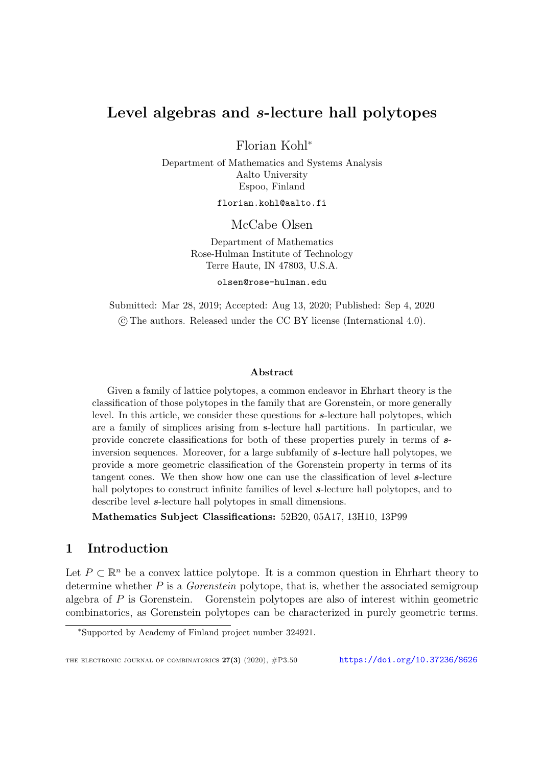# Level algebras and s-lecture hall polytopes

Florian Kohl<sup>∗</sup>

Department of Mathematics and Systems Analysis Aalto University Espoo, Finland

florian.kohl@aalto.fi

McCabe Olsen

Department of Mathematics Rose-Hulman Institute of Technology Terre Haute, IN 47803, U.S.A.

olsen@rose-hulman.edu

Submitted: Mar 28, 2019; Accepted: Aug 13, 2020; Published: Sep 4, 2020 c The authors. Released under the CC BY license (International 4.0).

#### Abstract

Given a family of lattice polytopes, a common endeavor in Ehrhart theory is the classification of those polytopes in the family that are Gorenstein, or more generally level. In this article, we consider these questions for s-lecture hall polytopes, which are a family of simplices arising from s-lecture hall partitions. In particular, we provide concrete classifications for both of these properties purely in terms of sinversion sequences. Moreover, for a large subfamily of s-lecture hall polytopes, we provide a more geometric classification of the Gorenstein property in terms of its tangent cones. We then show how one can use the classification of level s-lecture hall polytopes to construct infinite families of level **s**-lecture hall polytopes, and to describe level  $s$ -lecture hall polytopes in small dimensions.

Mathematics Subject Classifications: 52B20, 05A17, 13H10, 13P99

## <span id="page-1-0"></span>1 Introduction

Let  $P \subset \mathbb{R}^n$  be a convex lattice polytope. It is a common question in Ehrhart theory to determine whether  $P$  is a *Gorenstein* polytope, that is, whether the associated semigroup algebra of P is Gorenstein. Gorenstein polytopes are also of interest within geometric combinatorics, as Gorenstein polytopes can be characterized in purely geometric terms.

<sup>∗</sup>Supported by Academy of Finland project number 324921.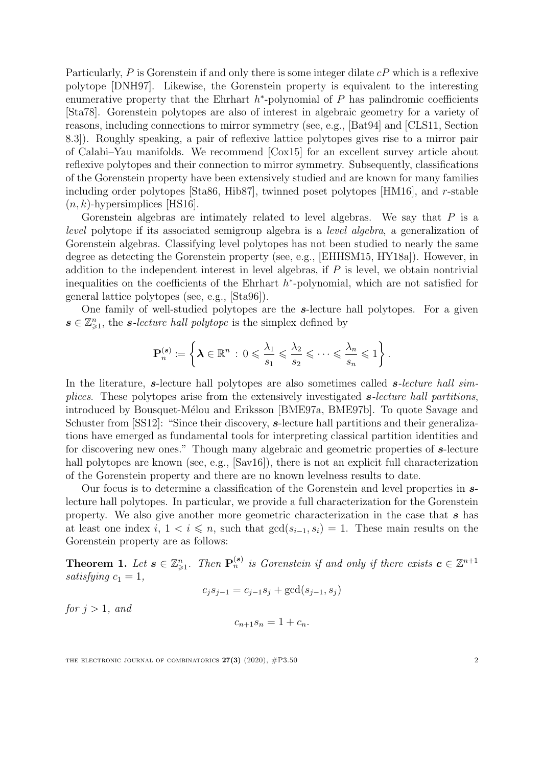Particularly, P is Gorenstein if and only there is some integer dilate  $cP$  which is a reflexive polytope [\[DNH97\]](#page-21-0). Likewise, the Gorenstein property is equivalent to the interesting enumerative property that the Ehrhart  $h^*$ -polynomial of  $P$  has palindromic coefficients [\[Sta78\]](#page-23-0). Gorenstein polytopes are also of interest in algebraic geometry for a variety of reasons, including connections to mirror symmetry (see, e.g., [\[Bat94\]](#page-20-0) and [\[CLS11,](#page-21-1) Section 8.3]). Roughly speaking, a pair of reflexive lattice polytopes gives rise to a mirror pair of Calabi–Yau manifolds. We recommend [\[Cox15\]](#page-21-2) for an excellent survey article about reflexive polytopes and their connection to mirror symmetry. Subsequently, classifications of the Gorenstein property have been extensively studied and are known for many families including order polytopes [\[Sta86,](#page-23-1) [Hib87\]](#page-21-3), twinned poset polytopes [\[HM16\]](#page-21-4), and r-stable  $(n, k)$ -hypersimplices [\[HS16\]](#page-22-0).

Gorenstein algebras are intimately related to level algebras. We say that  $P$  is a level polytope if its associated semigroup algebra is a level algebra, a generalization of Gorenstein algebras. Classifying level polytopes has not been studied to nearly the same degree as detecting the Gorenstein property (see, e.g., [\[EHHSM15,](#page-21-5) [HY18a\]](#page-22-1)). However, in addition to the independent interest in level algebras, if  $P$  is level, we obtain nontrivial inequalities on the coefficients of the Ehrhart  $h^*$ -polynomial, which are not satisfied for general lattice polytopes (see, e.g., [\[Sta96\]](#page-23-2)).

One family of well-studied polytopes are the s-lecture hall polytopes. For a given  $s \in \mathbb{Z}_{\geqslant 1}^n$ , the *s*-lecture hall polytope is the simplex defined by

$$
\mathbf{P}_n^{(s)} \coloneqq \left\{ \boldsymbol{\lambda} \in \mathbb{R}^n \, : \, 0 \leqslant \frac{\lambda_1}{s_1} \leqslant \frac{\lambda_2}{s_2} \leqslant \cdots \leqslant \frac{\lambda_n}{s_n} \leqslant 1 \right\}.
$$

In the literature, s-lecture hall polytopes are also sometimes called  $s$ -lecture hall simplices. These polytopes arise from the extensively investigated s-lecture hall partitions, introduced by Bousquet-Mélou and Eriksson [\[BME97a,](#page-21-6) [BME97b\]](#page-21-7). To quote Savage and Schuster from [\[SS12\]](#page-22-2): "Since their discovery, s-lecture hall partitions and their generalizations have emerged as fundamental tools for interpreting classical partition identities and for discovering new ones." Though many algebraic and geometric properties of s-lecture hall polytopes are known (see, e.g., [\[Sav16\]](#page-22-3)), there is not an explicit full characterization of the Gorenstein property and there are no known levelness results to date.

Our focus is to determine a classification of the Gorenstein and level properties in slecture hall polytopes. In particular, we provide a full characterization for the Gorenstein property. We also give another more geometric characterization in the case that  $s$  has at least one index i,  $1 < i \leq n$ , such that  $gcd(s_{i-1}, s_i) = 1$ . These main results on the Gorenstein property are as follows:

<span id="page-2-0"></span>**Theorem 1.** Let  $s \in \mathbb{Z}_{\geqslant 1}^n$ . Then  $\mathbf{P}_n^{(s)}$  is Gorenstein if and only if there exists  $c \in \mathbb{Z}^{n+1}$ satisfying  $c_1 = 1$ ,

$$
c_j s_{j-1} = c_{j-1} s_j + \gcd(s_{j-1}, s_j)
$$

for  $j > 1$ , and

$$
c_{n+1}s_n = 1 + c_n.
$$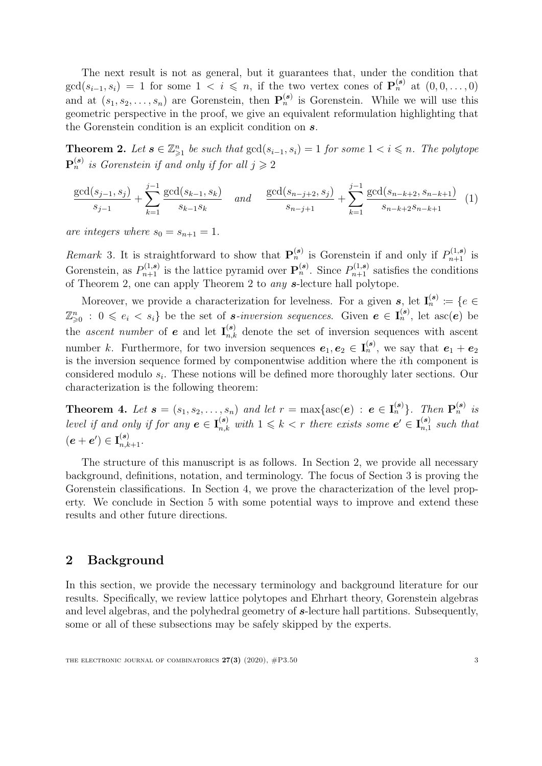The next result is not as general, but it guarantees that, under the condition that  $gcd(s_{i-1}, s_i) = 1$  for some  $1 \leq i \leq n$ , if the two vertex cones of  $\mathbf{P}_n^{(s)}$  at  $(0, 0, \ldots, 0)$ and at  $(s_1, s_2, \ldots, s_n)$  are Gorenstein, then  $\mathbf{P}_n^{(s)}$  is Gorenstein. While we will use this geometric perspective in the proof, we give an equivalent reformulation highlighting that the Gorenstein condition is an explicit condition on s.

<span id="page-3-0"></span>**Theorem 2.** Let  $s \in \mathbb{Z}_{\geq 1}^n$  be such that  $gcd(s_{i-1}, s_i) = 1$  for some  $1 < i \leq n$ . The polytope  $\mathbf{P}_n^{(s)}$  is Gorenstein if and only if for all  $j\geqslant 2$ 

<span id="page-3-2"></span>
$$
\frac{\gcd(s_{j-1}, s_j)}{s_{j-1}} + \sum_{k=1}^{j-1} \frac{\gcd(s_{k-1}, s_k)}{s_{k-1}s_k} \quad and \quad \frac{\gcd(s_{n-j+2}, s_j)}{s_{n-j+1}} + \sum_{k=1}^{j-1} \frac{\gcd(s_{n-k+2}, s_{n-k+1})}{s_{n-k+2}s_{n-k+1}} \tag{1}
$$

are integers where  $s_0 = s_{n+1} = 1$ .

Remark 3. It is straightforward to show that  $\mathbf{P}_n^{(s)}$  is Gorenstein if and only if  $P_{n+1}^{(1,s)}$  is Gorenstein, as  $P_{n+1}^{(1,s)}$  is the lattice pyramid over  $\mathbf{P}_n^{(s)}$ . Since  $P_{n+1}^{(1,s)}$  satisfies the conditions of Theorem [2,](#page-3-0) one can apply Theorem [2](#page-3-0) to *any* s-lecture hall polytope.

Moreover, we provide a characterization for levelness. For a given s, let  $I_n^{(s)} := \{e \in I_n^{(s)}\}$  $\mathbb{Z}_{\geqslant 0}^n : 0 \leqslant e_i < s_i$  be the set of *s*-inversion sequences. Given  $e \in I_n^{(s)}$ , let asc $(e)$  be the ascent number of **e** and let  $I_{n,k}^{(s)}$  denote the set of inversion sequences with ascent number k. Furthermore, for two inversion sequences  $e_1, e_2 \in I_n^{(s)}$ , we say that  $e_1 + e_2$ is the inversion sequence formed by componentwise addition where the ith component is considered modulo  $s_i$ . These notions will be defined more thoroughly later sections. Our characterization is the following theorem:

<span id="page-3-3"></span>**Theorem 4.** Let  $\mathbf{s} = (s_1, s_2, \ldots, s_n)$  and let  $r = \max\{\text{asc}(\mathbf{e}) : \mathbf{e} \in \mathbf{I}_n^{(\mathbf{s})}\}\$ . Then  $\mathbf{P}_n^{(\mathbf{s})}$  is level if and only if for any  $e \in I_{n,k}^{(s)}$  with  $1 \leq k < r$  there exists some  $e' \in I_{n,1}^{(s)}$  $\binom{s}{n,1}$  such that  $(\boldsymbol{e}+\boldsymbol{e}')\in \mathbf{I}_{n,k+1}^{(\boldsymbol{s})}.$ 

The structure of this manuscript is as follows. In Section [2,](#page-3-1) we provide all necessary background, definitions, notation, and terminology. The focus of Section [3](#page-8-0) is proving the Gorenstein classifications. In Section [4,](#page-12-0) we prove the characterization of the level property. We conclude in Section [5](#page-19-0) with some potential ways to improve and extend these results and other future directions.

## <span id="page-3-1"></span>2 Background

In this section, we provide the necessary terminology and background literature for our results. Specifically, we review lattice polytopes and Ehrhart theory, Gorenstein algebras and level algebras, and the polyhedral geometry of  $s$ -lecture hall partitions. Subsequently, some or all of these subsections may be safely skipped by the experts.

THE ELECTRONIC JOURNAL OF COMBINATORICS  $27(3)$  (2020),  $\#P3.50$  3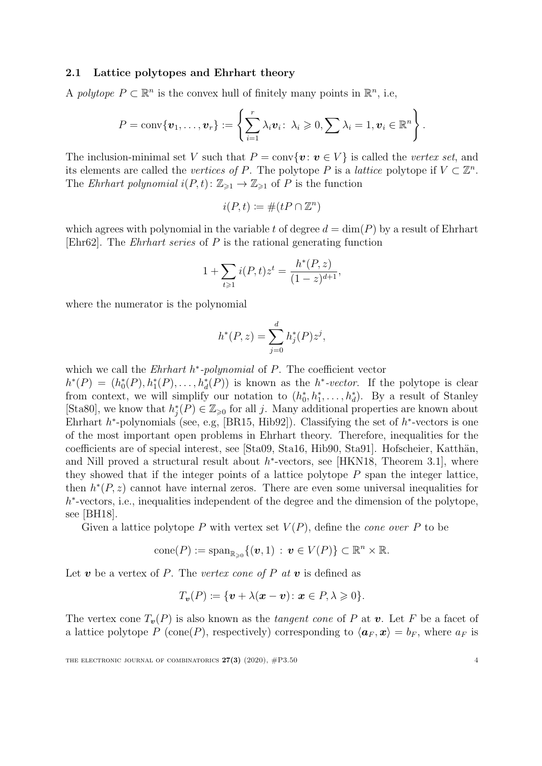#### 2.1 Lattice polytopes and Ehrhart theory

A polytope  $P \subset \mathbb{R}^n$  is the convex hull of finitely many points in  $\mathbb{R}^n$ , i.e,

$$
P = \text{conv}\{\boldsymbol{v}_1,\ldots,\boldsymbol{v}_r\} := \left\{\sum_{i=1}^r \lambda_i \boldsymbol{v}_i \colon \lambda_i \geqslant 0, \sum \lambda_i = 1, \boldsymbol{v}_i \in \mathbb{R}^n\right\}.
$$

The inclusion-minimal set V such that  $P = \text{conv}\{v : v \in V\}$  is called the vertex set, and its elements are called the *vertices of P*. The polytope P is a *lattice* polytope if  $V \subset \mathbb{Z}^n$ . The Ehrhart polynomial  $i(P, t): \mathbb{Z}_{\geq 1} \to \mathbb{Z}_{\geq 1}$  of P is the function

$$
i(P, t) \coloneqq \#(tP \cap \mathbb{Z}^n)
$$

which agrees with polynomial in the variable t of degree  $d = \dim(P)$  by a result of Ehrhart [\[Ehr62\]](#page-21-8). The *Ehrhart series* of  $P$  is the rational generating function

$$
1 + \sum_{t \ge 1} i(P, t) z^t = \frac{h^*(P, z)}{(1 - z)^{d+1}},
$$

where the numerator is the polynomial

$$
h^*(P, z) = \sum_{j=0}^d h_j^*(P) z^j,
$$

which we call the  $Ehrhart$   $h^*$ -polynomial of  $P$ . The coefficient vector

 $h^*(P) = (h_0^*(P), h_1^*(P), \ldots, h_d^*(P))$  is known as the  $h^* \text{-vector}$ . If the polytope is clear from context, we will simplify our notation to  $(h_0^*, h_1^*, \ldots, h_d^*)$ . By a result of Stanley [\[Sta80\]](#page-23-3), we know that  $h_j^*(P) \in \mathbb{Z}_{\geqslant 0}$  for all j. Many additional properties are known about Ehrhart  $h^*$ -polynomials (see, e.g, [\[BR15,](#page-21-9) [Hib92\]](#page-21-10)). Classifying the set of  $h^*$ -vectors is one of the most important open problems in Ehrhart theory. Therefore, inequalities for the coefficients are of special interest, see [\[Sta09,](#page-23-4) [Sta16,](#page-23-5) [Hib90,](#page-21-11) [Sta91\]](#page-23-6). Hofscheier, Katthän, and Nill proved a structural result about  $h^*$ -vectors, see [\[HKN18,](#page-21-12) Theorem 3.1], where they showed that if the integer points of a lattice polytope  $P$  span the integer lattice, then  $h^*(P, z)$  cannot have internal zeros. There are even some universal inequalities for h<sup>\*</sup>-vectors, i.e., inequalities independent of the degree and the dimension of the polytope, see [\[BH18\]](#page-20-1).

Given a lattice polytope P with vertex set  $V(P)$ , define the *cone over* P to be

$$
\text{cone}(P) := \text{span}_{\mathbb{R}_{\geq 0}} \{ (\boldsymbol{v}, 1) : \boldsymbol{v} \in V(P) \} \subset \mathbb{R}^n \times \mathbb{R}.
$$

Let **v** be a vertex of P. The vertex cone of P at **v** is defined as

$$
T_{\boldsymbol{v}}(P) \coloneqq \{ \boldsymbol{v} + \lambda(\boldsymbol{x} - \boldsymbol{v}) \colon \boldsymbol{x} \in P, \lambda \geqslant 0 \}.
$$

The vertex cone  $T_{\nu}(P)$  is also known as the *tangent cone* of P at v. Let F be a facet of a lattice polytope P (cone(P), respectively) corresponding to  $\langle \mathbf{a}_F , \mathbf{x} \rangle = b_F$ , where  $a_F$  is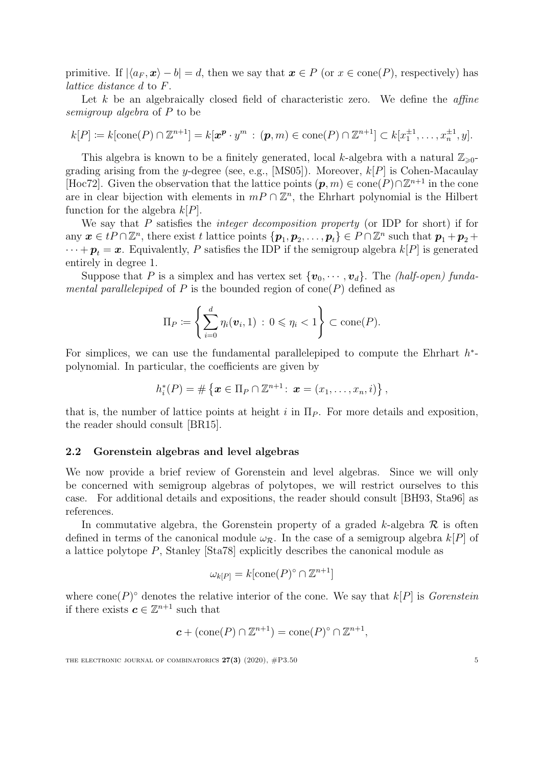primitive. If  $|\langle a_F , x \rangle - b| = d$ , then we say that  $x \in P$  (or  $x \in \text{cone}(P)$ , respectively) has lattice distance d to F.

Let k be an algebraically closed field of characteristic zero. We define the  $affine$ semigroup algebra of P to be

$$
k[P] \coloneqq k[\text{cone}(P) \cap \mathbb{Z}^{n+1}] = k[\boldsymbol{x}^{\boldsymbol{p}} \cdot y^m : (\boldsymbol{p}, m) \in \text{cone}(P) \cap \mathbb{Z}^{n+1}] \subset k[x_1^{\pm 1}, \dots, x_n^{\pm 1}, y].
$$

This algebra is known to be a finitely generated, local k-algebra with a natural  $\mathbb{Z}_{\geq 0}$ -grading arising from the y-degree (see, e.g., [\[MS05\]](#page-22-4)). Moreover,  $k[P]$  is Cohen-Macaulay [\[Hoc72\]](#page-22-5). Given the observation that the lattice points  $(p, m) \in \text{cone}(P) \cap \mathbb{Z}^{n+1}$  in the cone are in clear bijection with elements in  $mP \cap \mathbb{Z}^n$ , the Ehrhart polynomial is the Hilbert function for the algebra  $k[P]$ .

We say that  $P$  satisfies the *integer decomposition property* (or IDP for short) if for any  $\boldsymbol{x} \in tP \cap \mathbb{Z}^n$ , there exist t lattice points  $\{\boldsymbol{p}_1, \boldsymbol{p}_2, \ldots, \boldsymbol{p}_t\} \in P \cap \mathbb{Z}^n$  such that  $\boldsymbol{p}_1 + \boldsymbol{p}_2 + \cdots$  $\cdots + p_t = x$ . Equivalently, P satisfies the IDP if the semigroup algebra  $k[P]$  is generated entirely in degree 1.

Suppose that P is a simplex and has vertex set  $\{v_0, \dots, v_d\}$ . The *(half-open)* funda*mental parallelepiped* of P is the bounded region of cone(P) defined as

$$
\Pi_P \coloneqq \left\{ \sum_{i=0}^d \eta_i(\boldsymbol{v}_i, 1) \,:\, 0 \leqslant \eta_i < 1 \right\} \subset \text{cone}(P).
$$

For simplices, we can use the fundamental parallelepiped to compute the Ehrhart  $h^*$ polynomial. In particular, the coefficients are given by

$$
h_i^*(P) = \#\left\{ \boldsymbol{x} \in \Pi_P \cap \mathbb{Z}^{n+1}: \ \boldsymbol{x} = (x_1, \ldots, x_n, i) \right\},\
$$

that is, the number of lattice points at height i in  $\Pi_P$ . For more details and exposition, the reader should consult [\[BR15\]](#page-21-9).

### 2.2 Gorenstein algebras and level algebras

We now provide a brief review of Gorenstein and level algebras. Since we will only be concerned with semigroup algebras of polytopes, we will restrict ourselves to this case. For additional details and expositions, the reader should consult [\[BH93,](#page-20-2) [Sta96\]](#page-23-2) as references.

In commutative algebra, the Gorenstein property of a graded k-algebra  $\mathcal R$  is often defined in terms of the canonical module  $\omega_{\mathcal{R}}$ . In the case of a semigroup algebra  $k[P]$  of a lattice polytope P, Stanley [\[Sta78\]](#page-23-0) explicitly describes the canonical module as

$$
\omega_{k[P]} = k[\text{cone}(P)^\circ \cap \mathbb{Z}^{n+1}]
$$

where cone(P)<sup>o</sup> denotes the relative interior of the cone. We say that  $k[P]$  is *Gorenstein* if there exists  $c \in \mathbb{Z}^{n+1}$  such that

$$
\mathbf{c} + (\text{cone}(P) \cap \mathbb{Z}^{n+1}) = \text{cone}(P)^{\circ} \cap \mathbb{Z}^{n+1},
$$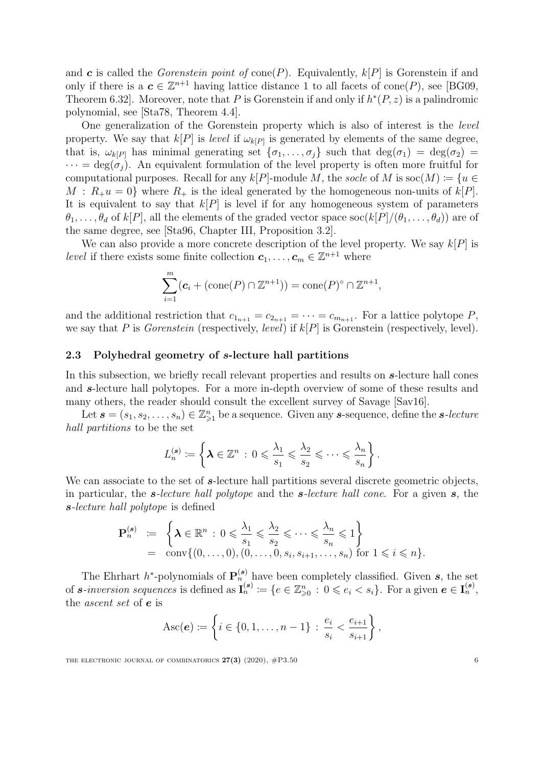and c is called the *Gorenstein point of* cone(P). Equivalently,  $k[P]$  is Gorenstein if and only if there is a  $c \in \mathbb{Z}^{n+1}$  having lattice distance 1 to all facets of cone(P), see [\[BG09,](#page-20-3) Theorem 6.32. Moreover, note that P is Gorenstein if and only if  $h^*(P, z)$  is a palindromic polynomial, see [\[Sta78,](#page-23-0) Theorem 4.4].

One generalization of the Gorenstein property which is also of interest is the level property. We say that  $k[P]$  is level if  $\omega_{k[P]}$  is generated by elements of the same degree, that is,  $\omega_{k[P]}$  has minimal generating set  $\{\sigma_1, \ldots, \sigma_j\}$  such that  $\deg(\sigma_1) = \deg(\sigma_2) =$  $\cdots = \deg(\sigma_i)$ . An equivalent formulation of the level property is often more fruitful for computational purposes. Recall for any  $k[P]$ -module M, the socle of M is soc $(M) \coloneqq \{u \in$  $M : R_{+}u = 0$  where  $R_{+}$  is the ideal generated by the homogeneous non-units of  $k[P]$ . It is equivalent to say that  $k[P]$  is level if for any homogeneous system of parameters  $\theta_1, \ldots, \theta_d$  of  $k[P]$ , all the elements of the graded vector space soc $(k[P]/(\theta_1, \ldots, \theta_d))$  are of the same degree, see [\[Sta96,](#page-23-2) Chapter III, Proposition 3.2].

We can also provide a more concrete description of the level property. We say  $k[P]$  is *level* if there exists some finite collection  $c_1, \ldots, c_m \in \mathbb{Z}^{n+1}$  where

$$
\sum_{i=1}^{m} (c_i + (\text{cone}(P) \cap \mathbb{Z}^{n+1})) = \text{cone}(P)^\circ \cap \mathbb{Z}^{n+1},
$$

and the additional restriction that  $c_{1_{n+1}} = c_{2_{n+1}} = \cdots = c_{m_{n+1}}$ . For a lattice polytope P, we say that P is Gorenstein (respectively, level) if  $k[P]$  is Gorenstein (respectively, level).

### 2.3 Polyhedral geometry of s-lecture hall partitions

In this subsection, we briefly recall relevant properties and results on s-lecture hall cones and s-lecture hall polytopes. For a more in-depth overview of some of these results and many others, the reader should consult the excellent survey of Savage [\[Sav16\]](#page-22-3).

Let  $\mathbf{s} = (s_1, s_2, \dots, s_n) \in \mathbb{Z}_{\geq 1}^n$  be a sequence. Given any **s**-sequence, define the **s**-lecture hall partitions to be the set

$$
L_n^{(s)} := \left\{ \boldsymbol{\lambda} \in \mathbb{Z}^n \, : \, 0 \leqslant \frac{\lambda_1}{s_1} \leqslant \frac{\lambda_2}{s_2} \leqslant \cdots \leqslant \frac{\lambda_n}{s_n} \right\}.
$$

We can associate to the set of s-lecture hall partitions several discrete geometric objects, in particular, the s-lecture hall polytope and the s-lecture hall cone. For a given  $s$ , the s-lecture hall polytope is defined

$$
\mathbf{P}_n^{(s)} \coloneqq \left\{ \boldsymbol{\lambda} \in \mathbb{R}^n : 0 \leqslant \frac{\lambda_1}{s_1} \leqslant \frac{\lambda_2}{s_2} \leqslant \cdots \leqslant \frac{\lambda_n}{s_n} \leqslant 1 \right\} \n= \text{conv}\{(0, \ldots, 0), (0, \ldots, 0, s_i, s_{i+1}, \ldots, s_n) \text{ for } 1 \leqslant i \leqslant n \}.
$$

The Ehrhart  $h^*$ -polynomials of  $\mathbf{P}_n^{(s)}$  have been completely classified. Given s, the set of *s*-inversion sequences is defined as  $I_n^{(s)} \coloneqq \{e \in \mathbb{Z}_{\geqslant 0}^n : 0 \leqslant e_i \leqslant s_i\}$ . For a given  $e \in I_n^{(s)}$ , the ascent set of e is

$$
Asc(e) := \left\{ i \in \{0, 1, \ldots, n-1\} : \frac{e_i}{s_i} < \frac{e_{i+1}}{s_{i+1}} \right\},\
$$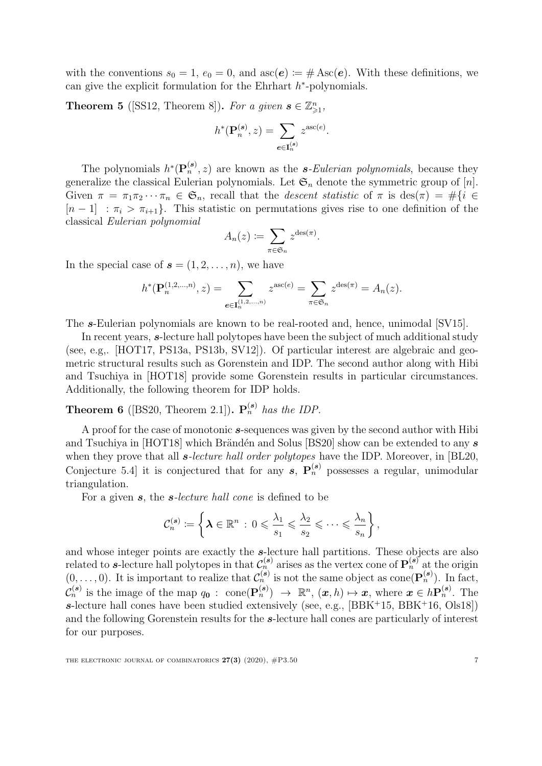with the conventions  $s_0 = 1$ ,  $e_0 = 0$ , and  $asc(e) := #Asc(e)$ . With these definitions, we can give the explicit formulation for the Ehrhart  $h^*$ -polynomials.

**Theorem 5** ([\[SS12,](#page-22-2) Theorem 8]). For a given  $\mathbf{s} \in \mathbb{Z}_{\geqslant 1}^n$ ,

$$
h^*(\mathbf{P}_n^{(\mathbf{s})}, z) = \sum_{\mathbf{e} \in \mathbf{I}_n^{(\mathbf{s})}} z^{\mathrm{asc}(e)}.
$$

The polynomials  $h^*(\mathbf{P}_n^{(s)}, z)$  are known as the *s*-Eulerian polynomials, because they generalize the classical Eulerian polynomials. Let  $\mathfrak{S}_n$  denote the symmetric group of [n]. Given  $\pi = \pi_1 \pi_2 \cdots \pi_n \in \mathfrak{S}_n$ , recall that the *descent statistic* of  $\pi$  is des $(\pi) = \#\{i \in$  $[n-1]$ :  $\pi_i > \pi_{i+1}$ . This statistic on permutations gives rise to one definition of the classical Eulerian polynomial

$$
A_n(z) := \sum_{\pi \in \mathfrak{S}_n} z^{\text{des}(\pi)}.
$$

In the special case of  $\mathbf{s} = (1, 2, \ldots, n)$ , we have

$$
h^*(\mathbf{P}_n^{(1,2,...,n)},z) = \sum_{e \in \mathbf{I}_n^{(1,2,...,n)}} z^{\mathrm{asc}(e)} = \sum_{\pi \in \mathfrak{S}_n} z^{\mathrm{des}(\pi)} = A_n(z).
$$

The s-Eulerian polynomials are known to be real-rooted and, hence, unimodal [\[SV15\]](#page-23-7).

In recent years, s-lecture hall polytopes have been the subject of much additional study (see, e.g,. [\[HOT17,](#page-22-6) [PS13a,](#page-22-7) [PS13b,](#page-22-8) [SV12\]](#page-23-8)). Of particular interest are algebraic and geometric structural results such as Gorenstein and IDP. The second author along with Hibi and Tsuchiya in [\[HOT18\]](#page-22-9) provide some Gorenstein results in particular circumstances. Additionally, the following theorem for IDP holds.

<span id="page-7-0"></span>**Theorem 6** ([\[BS20,](#page-21-13) Theorem 2.1]).  $\mathbf{P}_n^{(s)}$  has the IDP.

A proof for the case of monotonic s-sequences was given by the second author with Hibi and Tsuchiya in [\[HOT18\]](#page-22-9) which Bränden and Solus [\[BS20\]](#page-21-13) show can be extended to any  $s$ when they prove that all *s*-lecture hall order polytopes have the IDP. Moreover, in [\[BL20,](#page-21-14) Conjecture 5.4 it is conjectured that for any  $s$ ,  $\mathbf{P}_n^{(s)}$  possesses a regular, unimodular triangulation.

For a given s, the s-lecture hall cone is defined to be

$$
\mathcal{C}_n^{(\bm{s})} \coloneqq \left\{\bm{\lambda} \in \mathbb{R}^n \, : \, 0 \leqslant \frac{\lambda_1}{s_1} \leqslant \frac{\lambda_2}{s_2} \leqslant \cdots \leqslant \frac{\lambda_n}{s_n} \right\},
$$

and whose integer points are exactly the s-lecture hall partitions. These objects are also related to s-lecture hall polytopes in that  $\mathcal{C}_n^{(s)}$  arises as the vertex cone of  $\mathbf{P}_n^{(s)}$  at the origin  $(0,\ldots,0)$ . It is important to realize that  $\mathcal{C}_n^{(s)}$  is not the same object as cone  $(\mathbf{P}_n^{(s)})$ . In fact,  $\mathcal{C}_n^{(s)}$  is the image of the map  $q_0: \text{ cone}(\mathbf{P}_n^{(s)}) \to \mathbb{R}^n, (\pmb{x}, h) \mapsto \pmb{x}, \text{ where } \pmb{x} \in h\mathbf{P}_n^{(s)}.$  The s-lecture hall cones have been studied extensively (see, e.g.,  $[BBK^+15, BBK^+16, OIs18]$  $[BBK^+15, BBK^+16, OIs18]$  $[BBK^+15, BBK^+16, OIs18]$  $[BBK^+15, BBK^+16, OIs18]$ ) and the following Gorenstein results for the s-lecture hall cones are particularly of interest for our purposes.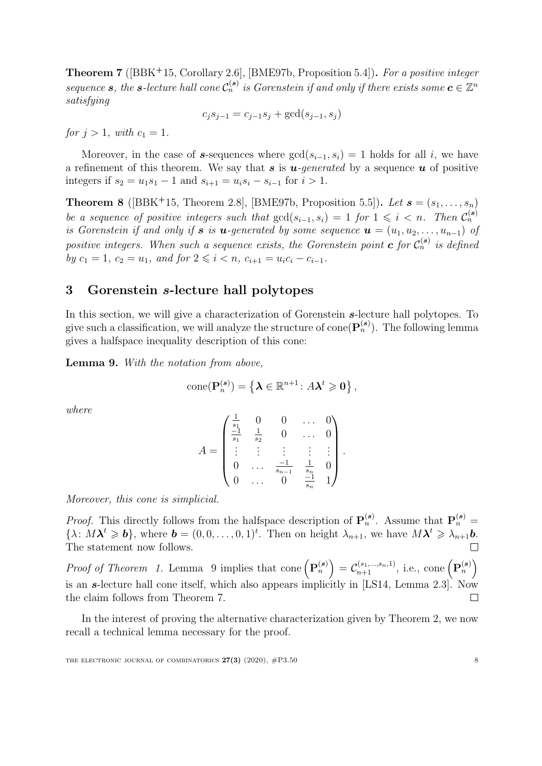<span id="page-8-2"></span>**Theorem 7** ( $[BBK+15, Corollary 2.6]$  $[BBK+15, Corollary 2.6]$ ,  $[BME97b, Proposition 5.4]$  $[BME97b, Proposition 5.4]$ ). For a positive integer sequence **s**, the **s**-lecture hall cone  $C_n^{(s)}$  is Gorenstein if and only if there exists some  $c \in \mathbb{Z}^n$ satisfying

$$
c_j s_{j-1} = c_{j-1} s_j + \gcd(s_{j-1}, s_j)
$$

for  $j > 1$ , with  $c_1 = 1$ .

Moreover, in the case of s-sequences where  $gcd(s_{i-1}, s_i) = 1$  holds for all i, we have a refinement of this theorem. We say that s is  $u$ -generated by a sequence u of positive integers if  $s_2 = u_1 s_1 - 1$  and  $s_{i+1} = u_i s_i - s_{i-1}$  for  $i > 1$ .

<span id="page-8-3"></span>**Theorem 8** ([\[BBK](#page-20-4)+15, Theorem 2.8], [\[BME97b,](#page-21-7) Proposition 5.5]). Let  $\mathbf{s} = (s_1, \ldots, s_n)$ be a sequence of positive integers such that  $gcd(s_{i-1}, s_i) = 1$  for  $1 \leq i \leq n$ . Then  $\mathcal{C}_n^{(s)}$ is Gorenstein if and only if s is u-generated by some sequence  $\mathbf{u} = (u_1, u_2, \ldots, u_{n-1})$  of positive integers. When such a sequence exists, the Gorenstein point **c** for  $C_n^{(s)}$  is defined by  $c_1 = 1$ ,  $c_2 = u_1$ , and for  $2 \leq i \leq n$ ,  $c_{i+1} = u_i c_i - c_{i-1}$ .

## <span id="page-8-0"></span>3 Gorenstein s-lecture hall polytopes

In this section, we will give a characterization of Gorenstein s-lecture hall polytopes. To give such a classification, we will analyze the structure of cone  $(P_n^{(s)})$ . The following lemma gives a halfspace inequality description of this cone:

<span id="page-8-1"></span>Lemma 9. With the notation from above,

$$
\text{cone}(\mathbf{P}_n^{(s)}) = \left\{ \boldsymbol{\lambda} \in \mathbb{R}^{n+1} : A \boldsymbol{\lambda}^t \geqslant \mathbf{0} \right\},\
$$

where

$$
A = \begin{pmatrix} \frac{1}{s_1} & 0 & 0 & \dots & 0 \\ \frac{-1}{s_1} & \frac{1}{s_2} & 0 & \dots & 0 \\ \vdots & \vdots & \vdots & \vdots & \vdots \\ 0 & \dots & \frac{-1}{s_{n-1}} & \frac{1}{s_n} & 0 \\ 0 & \dots & 0 & \frac{-1}{s_n} & 1 \end{pmatrix}.
$$

Moreover, this cone is simplicial.

*Proof.* This directly follows from the halfspace description of  $\mathbf{P}_n^{(s)}$ . Assume that  $\mathbf{P}_n^{(s)}$  =  $\{\lambda: M\lambda^t \geqslant b\}$ , where  $\mathbf{b} = (0,0,\ldots,0,1)^t$ . Then on height  $\lambda_{n+1}$ , we have  $M\lambda^t \geqslant \lambda_{n+1}\mathbf{b}$ . The statement now follows.  $\Box$ 

Proof of Theorem [1.](#page-2-0) Lemma [9](#page-8-1) implies that cone  $(\mathbf{P}_n^{(s)}) = C_{n+1}^{(s_1,\ldots,s_n,1)}$ , i.e., cone  $(\mathbf{P}_n^{(s)})$ is an s-lecture hall cone itself, which also appears implicitly in [\[LS14,](#page-22-11) Lemma 2.3]. Now the claim follows from Theorem [7.](#page-8-2) П

In the interest of proving the alternative characterization given by Theorem [2,](#page-3-0) we now recall a technical lemma necessary for the proof.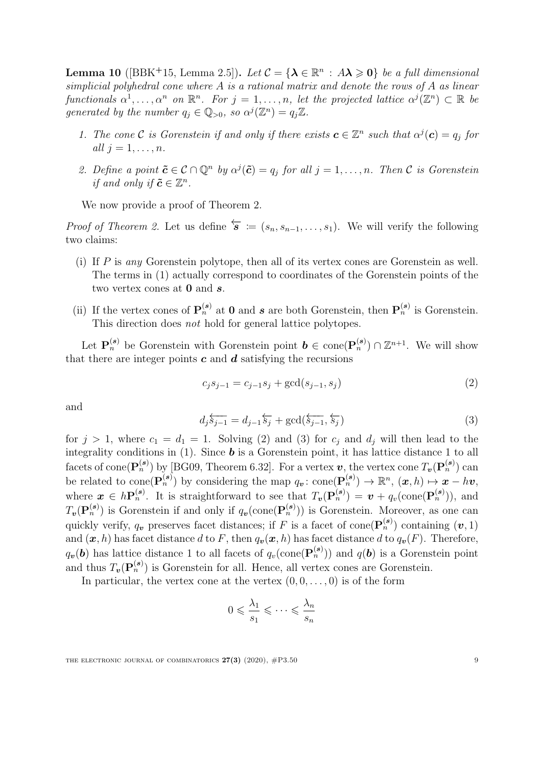<span id="page-9-2"></span>**Lemma 10** ([\[BBK](#page-20-4)<sup>+</sup>15, Lemma 2.5]). Let  $\mathcal{C} = {\lambda \in \mathbb{R}^n : A\lambda \geq 0}$  be a full dimensional simplicial polyhedral cone where A is a rational matrix and denote the rows of A as linear functionals  $\alpha^1,\ldots,\alpha^n$  on  $\mathbb{R}^n$ . For  $j=1,\ldots,n$ , let the projected lattice  $\alpha^j(\mathbb{Z}^n) \subset \mathbb{R}$  be generated by the number  $q_j \in \mathbb{Q}_{>0}$ , so  $\alpha^j(\mathbb{Z}^n) = q_j \mathbb{Z}$ .

- 1. The cone C is Gorenstein if and only if there exists  $\mathbf{c} \in \mathbb{Z}^n$  such that  $\alpha^j(\mathbf{c}) = q_j$  for all  $j = 1, \ldots, n$ .
- 2. Define a point  $\tilde{c} \in \mathcal{C} \cap \mathbb{Q}^n$  by  $\alpha^j(\tilde{c}) = q_j$  for all  $j = 1, \ldots, n$ . Then  $\mathcal C$  is Gorenstein if and only if  $\tilde{c} \in \mathbb{Z}^n$ .

We now provide a proof of Theorem [2.](#page-3-0)

*Proof of Theorem [2.](#page-3-0)* Let us define  $\overleftarrow{s} := (s_n, s_{n-1}, \ldots, s_1)$ . We will verify the following two claims:

- (i) If  $P$  is any Gorenstein polytope, then all of its vertex cones are Gorenstein as well. The terms in [\(1\)](#page-3-2) actually correspond to coordinates of the Gorenstein points of the two vertex cones at  $\mathbf 0$  and  $\mathbf s$ .
- (ii) If the vertex cones of  $\mathbf{P}_n^{(s)}$  at **0** and **s** are both Gorenstein, then  $\mathbf{P}_n^{(s)}$  is Gorenstein. This direction does not hold for general lattice polytopes.

Let  $\mathbf{P}_n^{(s)}$  be Gorenstein with Gorenstein point  $\mathbf{b} \in \text{cone}(\mathbf{P}_n^{(s)}) \cap \mathbb{Z}^{n+1}$ . We will show that there are integer points  $\boldsymbol{c}$  and  $\boldsymbol{d}$  satisfying the recursions

<span id="page-9-0"></span>
$$
c_j s_{j-1} = c_{j-1} s_j + \gcd(s_{j-1}, s_j)
$$
 (2)

<span id="page-9-1"></span>and

$$
d_j \overleftarrow{s_{j-1}} = d_{j-1} \overleftarrow{s_j} + \gcd(\overleftarrow{s_{j-1}}, \overleftarrow{s_j})
$$
\n(3)

for  $j > 1$ , where  $c_1 = d_1 = 1$ . Solving [\(2\)](#page-9-0) and [\(3\)](#page-9-1) for  $c_j$  and  $d_j$  will then lead to the integrality conditions in  $(1)$ . Since **b** is a Gorenstein point, it has lattice distance 1 to all facets of cone $(\mathbf{P}_n^{(s)})$  by [\[BG09,](#page-20-3) Theorem 6.32]. For a vertex  $v$ , the vertex cone  $T_v(\mathbf{P}_n^{(s)})$  can be related to cone( $\mathbf{P}_n^{(s)}$ ) by considering the map  $q_v : \text{cone}(\mathbf{P}_n^{(s)}) \to \mathbb{R}^n$ ,  $(\boldsymbol{x}, h) \mapsto \boldsymbol{x} - h\boldsymbol{v}$ , where  $\mathbf{x} \in h\mathbf{P}_n^{(s)}$ . It is straightforward to see that  $T_v(\mathbf{P}_n^{(s)}) = \mathbf{v} + q_v(\text{cone}(\mathbf{P}_n^{(s)}))$ , and  $T_v(P_n^{(s)})$  is Gorenstein if and only if  $q_v(\text{cone}(P_n^{(s)}))$  is Gorenstein. Moreover, as one can quickly verify,  $q_v$  preserves facet distances; if F is a facet of cone $(\mathbf{P}_n^{(s)})$  containing  $(v, 1)$ and  $(x, h)$  has facet distance d to F, then  $q_v(x, h)$  has facet distance d to  $q_v(F)$ . Therefore,  $q_{\bm{v}}(\bm{b})$  has lattice distance 1 to all facets of  $q_v(\text{cone}(\mathbf{P}_n^{(\bm{s})}))$  and  $q(\bm{b})$  is a Gorenstein point and thus  $T_v(\mathbf{P}_n^{(s)})$  is Gorenstein for all. Hence, all vertex cones are Gorenstein.

In particular, the vertex cone at the vertex  $(0, 0, \ldots, 0)$  is of the form

$$
0 \leqslant \frac{\lambda_1}{s_1} \leqslant \cdots \leqslant \frac{\lambda_n}{s_n}
$$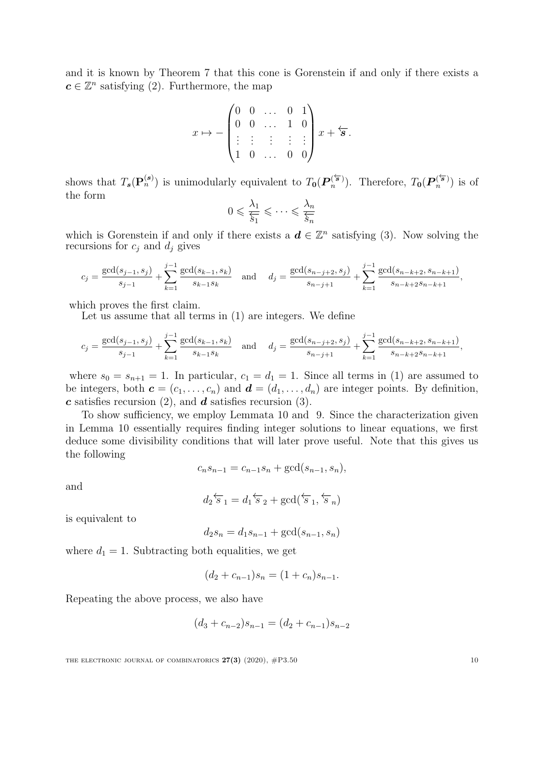and it is known by Theorem [7](#page-8-2) that this cone is Gorenstein if and only if there exists a  $c \in \mathbb{Z}^n$  satisfying [\(2\)](#page-9-0). Furthermore, the map

$$
x \mapsto -\begin{pmatrix} 0 & 0 & \dots & 0 & 1 \\ 0 & 0 & \dots & 1 & 0 \\ \vdots & \vdots & \vdots & \vdots & \vdots \\ 1 & 0 & \dots & 0 & 0 \end{pmatrix} x + \overleftarrow{\mathbf{s}}.
$$

shows that  $T_s(\mathbf{P}_n^{(s)})$  is unimodularly equivalent to  $T_0(\mathbf{P}_n^{(\overleftarrow{s})})$  $\binom{\overleftarrow{\boldsymbol{s}}}{n}$ . Therefore,  $T_{\boldsymbol{0}}(\boldsymbol{P}_n^{(\overleftarrow{\boldsymbol{s}})})$  $\binom{s}{n}$  is of the form

$$
0 \leqslant \frac{\lambda_1}{\overline{s_1}} \leqslant \cdots \leqslant \frac{\lambda_n}{\overline{s_n}}
$$

which is Gorenstein if and only if there exists a  $\mathbf{d} \in \mathbb{Z}^n$  satisfying [\(3\)](#page-9-1). Now solving the recursions for  $c_j$  and  $d_j$  gives

$$
c_j = \frac{\gcd(s_{j-1}, s_j)}{s_{j-1}} + \sum_{k=1}^{j-1} \frac{\gcd(s_{k-1}, s_k)}{s_{k-1}s_k} \quad \text{and} \quad d_j = \frac{\gcd(s_{n-j+2}, s_j)}{s_{n-j+1}} + \sum_{k=1}^{j-1} \frac{\gcd(s_{n-k+2}, s_{n-k+1})}{s_{n-k+2}s_{n-k+1}},
$$

which proves the first claim.

Let us assume that all terms in [\(1\)](#page-3-2) are integers. We define

$$
c_j = \frac{\gcd(s_{j-1}, s_j)}{s_{j-1}} + \sum_{k=1}^{j-1} \frac{\gcd(s_{k-1}, s_k)}{s_{k-1}s_k} \quad \text{and} \quad d_j = \frac{\gcd(s_{n-j+2}, s_j)}{s_{n-j+1}} + \sum_{k=1}^{j-1} \frac{\gcd(s_{n-k+2}, s_{n-k+1})}{s_{n-k+2}s_{n-k+1}},
$$

where  $s_0 = s_{n+1} = 1$ . In particular,  $c_1 = d_1 = 1$ . Since all terms in [\(1\)](#page-3-2) are assumed to be integers, both  $\mathbf{c} = (c_1, \ldots, c_n)$  and  $\mathbf{d} = (d_1, \ldots, d_n)$  are integer points. By definition,  $\boldsymbol{c}$  satisfies recursion [\(2\)](#page-9-0), and  $\boldsymbol{d}$  satisfies recursion [\(3\)](#page-9-1).

To show sufficiency, we employ Lemmata [10](#page-9-2) and [9.](#page-8-1) Since the characterization given in Lemma [10](#page-9-2) essentially requires finding integer solutions to linear equations, we first deduce some divisibility conditions that will later prove useful. Note that this gives us the following

$$
c_n s_{n-1} = c_{n-1} s_n + \gcd(s_{n-1}, s_n),
$$

and

$$
d_2 \overleftarrow{s}_1 = d_1 \overleftarrow{s}_2 + \gcd(\overleftarrow{s}_1, \overleftarrow{s}_n)
$$

is equivalent to

$$
d_2 s_n = d_1 s_{n-1} + \gcd(s_{n-1}, s_n)
$$

where  $d_1 = 1$ . Subtracting both equalities, we get

$$
(d_2 + c_{n-1})s_n = (1 + c_n)s_{n-1}.
$$

Repeating the above process, we also have

$$
(d_3 + c_{n-2})s_{n-1} = (d_2 + c_{n-1})s_{n-2}
$$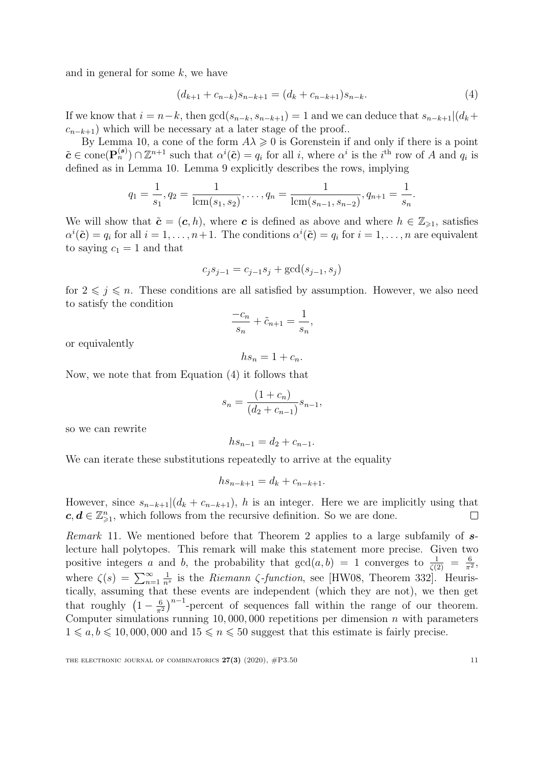and in general for some  $k$ , we have

<span id="page-11-0"></span>
$$
(d_{k+1} + c_{n-k})s_{n-k+1} = (d_k + c_{n-k+1})s_{n-k}.
$$
\n(4)

If we know that  $i = n-k$ , then  $gcd(s_{n-k}, s_{n-k+1}) = 1$  and we can deduce that  $s_{n-k+1} | (d_k +$  $c_{n-k+1}$ ) which will be necessary at a later stage of the proof..

By Lemma [10,](#page-9-2) a cone of the form  $A\lambda \geq 0$  is Gorenstein if and only if there is a point  $\tilde{\boldsymbol{c}} \in \text{cone}(\mathbf{P}_n^{(s)}) \cap \mathbb{Z}^{n+1}$  such that  $\alpha^i(\tilde{\boldsymbol{c}}) = q_i$  for all i, where  $\alpha^i$  is the i<sup>th</sup> row of A and  $q_i$  is defined as in Lemma [10.](#page-9-2) Lemma [9](#page-8-1) explicitly describes the rows, implying

$$
q_1 = \frac{1}{s_1}, q_2 = \frac{1}{\text{lcm}(s_1, s_2)}, \dots, q_n = \frac{1}{\text{lcm}(s_{n-1}, s_{n-2})}, q_{n+1} = \frac{1}{s_n}.
$$

We will show that  $\tilde{\mathbf{c}} = (\mathbf{c}, h)$ , where c is defined as above and where  $h \in \mathbb{Z}_{\geqslant 1}$ , satisfies  $\alpha^{i}(\tilde{c}) = q_{i}$  for all  $i = 1, ..., n+1$ . The conditions  $\alpha^{i}(\tilde{c}) = q_{i}$  for  $i = 1, ..., n$  are equivalent to saying  $c_1 = 1$  and that

$$
c_j s_{j-1} = c_{j-1} s_j + \gcd(s_{j-1}, s_j)
$$

for  $2 \leq j \leq n$ . These conditions are all satisfied by assumption. However, we also need to satisfy the condition

$$
\frac{-c_n}{s_n} + \tilde{c}_{n+1} = \frac{1}{s_n},
$$

or equivalently

 $hs_n = 1 + c_n.$ 

Now, we note that from Equation [\(4\)](#page-11-0) it follows that

$$
s_n = \frac{(1 + c_n)}{(d_2 + c_{n-1})} s_{n-1},
$$

so we can rewrite

$$
hs_{n-1} = d_2 + c_{n-1}.
$$

We can iterate these substitutions repeatedly to arrive at the equality

$$
hs_{n-k+1} = d_k + c_{n-k+1}.
$$

However, since  $s_{n-k+1}|(d_k + c_{n-k+1}), h$  is an integer. Here we are implicitly using that  $c, d \in \mathbb{Z}_{\geqslant 1}^n$ , which follows from the recursive definition. So we are done.  $\Box$ 

Remark 11. We mentioned before that Theorem [2](#page-3-0) applies to a large subfamily of slecture hall polytopes. This remark will make this statement more precise. Given two positive integers a and b, the probability that  $gcd(a, b) = 1$  converges to  $\frac{1}{\zeta(2)} = \frac{6}{\pi^2}$  $\frac{6}{\pi^2}$ , where  $\zeta(s) = \sum_{n=1}^{\infty}$ 1  $\frac{1}{n^s}$  is the *Riemann*  $\zeta$ -function, see [\[HW08,](#page-22-12) Theorem 332]. Heuristically, assuming that these events are independent (which they are not), we then get that roughly  $\left(1-\frac{6}{\pi^2}\right)$  $\frac{6}{\pi^2}$ )<sup>n-1</sup>-percent of sequences fall within the range of our theorem. Computer simulations running  $10,000,000$  repetitions per dimension n with parameters  $1 \leq a, b \leq 10,000,000$  and  $15 \leq n \leq 50$  suggest that this estimate is fairly precise.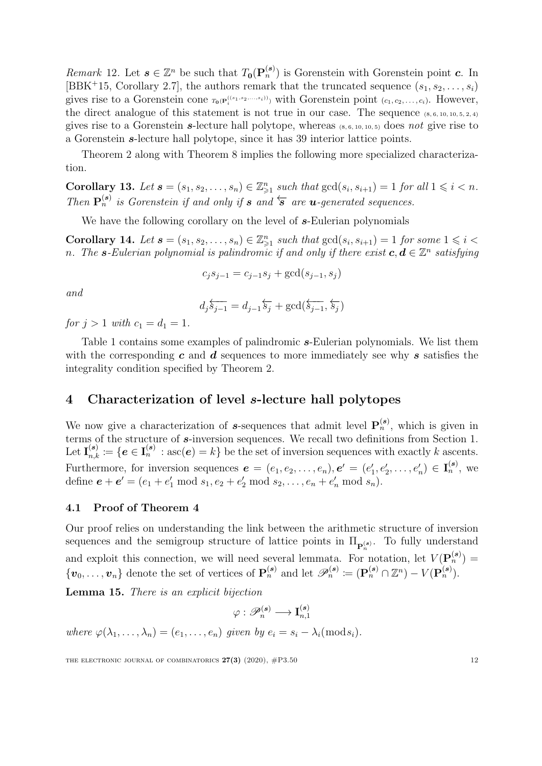Remark 12. Let  $s \in \mathbb{Z}^n$  be such that  $T_0(P_n^{(s)})$  is Gorenstein with Gorenstein point  $c$ . In [\[BBK](#page-20-4)<sup>+</sup>15, Corollary 2.7], the authors remark that the truncated sequence  $(s_1, s_2, \ldots, s_i)$ gives rise to a Gorenstein cone  $\tau_0(P_i^{(s_1,s_2,\ldots,s_i))}$  with Gorenstein point  $(c_1,c_2,\ldots,c_i)$ . However, the direct analogue of this statement is not true in our case. The sequence  $(8, 6, 10, 10, 5, 2, 4)$ gives rise to a Gorenstein s-lecture hall polytope, whereas  $(s, 6, 10, 10, 5)$  does not give rise to a Gorenstein s-lecture hall polytope, since it has 39 interior lattice points.

Theorem [2](#page-3-0) along with Theorem [8](#page-8-3) implies the following more specialized characterization.

Corollary 13. Let  $\mathbf{s} = (s_1, s_2, \ldots, s_n) \in \mathbb{Z}_{\geq 1}^n$  such that  $\gcd(s_i, s_{i+1}) = 1$  for all  $1 \leq i \leq n$ . Then  $\mathbf{P}_n^{(s)}$  is Gorenstein if and only if s and  $\overleftarrow{s}$  are **u**-generated sequences.

We have the following corollary on the level of  $s$ -Eulerian polynomials

Corollary 14. Let  $s = (s_1, s_2, \ldots, s_n) \in \mathbb{Z}_{\geq 1}^n$  such that  $gcd(s_i, s_{i+1}) = 1$  for some  $1 \leq i <$ n. The s-Eulerian polynomial is palindromic if and only if there exist  $c, d \in \mathbb{Z}^n$  satisfying

$$
c_j s_{j-1} = c_{j-1} s_j + \gcd(s_{j-1}, s_j)
$$

and

$$
d_j \overleftarrow{\scriptstyle \mathcal{S}_{j-1}} = d_{j-1} \overleftarrow{\scriptstyle \mathcal{S}_j} + \gcd(\overleftarrow{\scriptstyle \mathcal{S}_{j-1}}, \overleftarrow{\scriptstyle \mathcal{S}_j})
$$

for  $j > 1$  with  $c_1 = d_1 = 1$ .

Table [1](#page-13-0) contains some examples of palindromic  $s$ -Eulerian polynomials. We list them with the corresponding  $c$  and  $d$  sequences to more immediately see why  $s$  satisfies the integrality condition specified by Theorem [2.](#page-3-0)

### <span id="page-12-0"></span>4 Characterization of level s-lecture hall polytopes

We now give a characterization of s-sequences that admit level  $\mathbf{P}_n^{(s)}$ , which is given in terms of the structure of s-inversion sequences. We recall two definitions from Section [1.](#page-1-0) Let  $I_{n,k}^{(s)} := \{e \in I_n^{(s)} : \mathrm{asc}(e) = k\}$  be the set of inversion sequences with exactly k ascents. Furthermore, for inversion sequences  $\mathbf{e} = (e_1, e_2, \dots, e_n), \mathbf{e}' = (e'_1, e'_2, \dots, e'_n) \in \mathbf{I}_n^{(\mathbf{s})}$ , we define  $e + e' = (e_1 + e'_1 \mod s_1, e_2 + e'_2 \mod s_2, \dots, e_n + e'_n \mod s_n)$ .

### 4.1 Proof of Theorem [4](#page-3-3)

Our proof relies on understanding the link between the arithmetic structure of inversion sequences and the semigroup structure of lattice points in  $\Pi_{\mathbf{P}_n^{(s)}}$ . To fully understand and exploit this connection, we will need several lemmata. For notation, let  $V(\mathbf{P}_n^{(s)}) =$  $\{\boldsymbol{v}_0,\ldots,\boldsymbol{v}_n\}$  denote the set of vertices of  $\mathbf{P}_n^{(s)}$  and let  $\mathscr{P}_n^{(s)} := (\mathbf{P}_n^{(s)} \cap \mathbb{Z}^n) - V(\mathbf{P}_n^{(s)})$ .

<span id="page-12-1"></span>Lemma 15. There is an explicit bijection

 $\varphi: \mathscr{P}_n^{(\bm{s})} \longrightarrow \mathbf{I}_{n,1}^{(\bm{s})}$  $n,1$ 

where  $\varphi(\lambda_1, \ldots, \lambda_n) = (e_1, \ldots, e_n)$  given by  $e_i = s_i - \lambda_i \pmod{s_i}$ .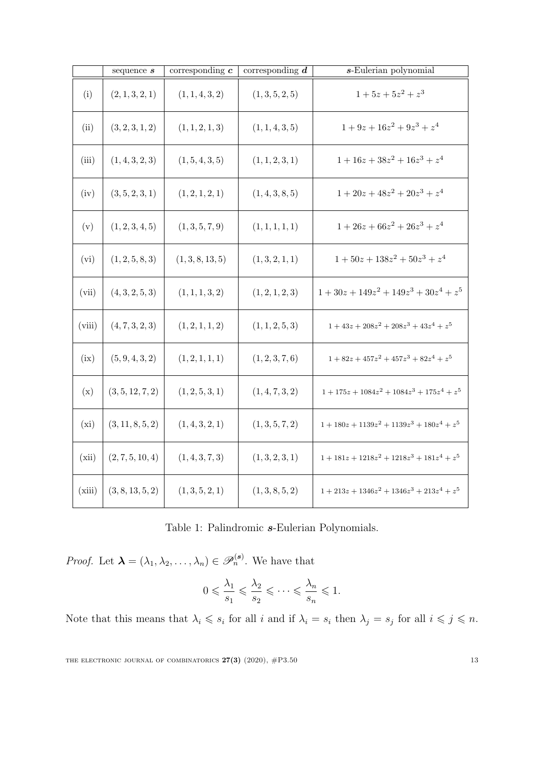<span id="page-13-0"></span>

|        | sequence $\boldsymbol{s}$ | $\overline{\text{corresponding } c}$ | corresponding $\overline{d}$ | $s$ -Eulerian polynomial                          |
|--------|---------------------------|--------------------------------------|------------------------------|---------------------------------------------------|
| (i)    | (2, 1, 3, 2, 1)           | (1, 1, 4, 3, 2)                      | (1,3,5,2,5)                  | $1+5z+5z^2+z^3$                                   |
| (ii)   | (3, 2, 3, 1, 2)           | (1, 1, 2, 1, 3)                      | (1, 1, 4, 3, 5)              | $1+9z+16z^2+9z^3+z^4$                             |
| (iii)  | (1,4,3,2,3)               | (1, 5, 4, 3, 5)                      | (1, 1, 2, 3, 1)              | $1+16z+38z^2+16z^3+z^4$                           |
| (iv)   | (3, 5, 2, 3, 1)           | (1, 2, 1, 2, 1)                      | (1,4,3,8,5)                  | $1+20z+48z^2+20z^3+z^4$                           |
| (v)    | (1, 2, 3, 4, 5)           | (1, 3, 5, 7, 9)                      | (1, 1, 1, 1, 1)              | $1+26z+66z^2+26z^3+z^4$                           |
| (vi)   | (1, 2, 5, 8, 3)           | (1,3,8,13,5)                         | (1, 3, 2, 1, 1)              | $1+50z+138z^2+50z^3+z^4$                          |
| (vii)  | (4,3,2,5,3)               | (1, 1, 1, 3, 2)                      | (1, 2, 1, 2, 3)              | $1 + 30z + 149z^{2} + 149z^{3} + 30z^{4} + z^{5}$ |
| (viii) | (4, 7, 3, 2, 3)           | (1, 2, 1, 1, 2)                      | (1, 1, 2, 5, 3)              | $1 + 43z + 208z^{2} + 208z^{3} + 43z^{4} + z^{5}$ |
| (ix)   | (5, 9, 4, 3, 2)           | (1, 2, 1, 1, 1)                      | (1, 2, 3, 7, 6)              | $1+82z+457z^2+457z^3+82z^4+z^5$                   |
| (x)    | (3, 5, 12, 7, 2)          | (1, 2, 5, 3, 1)                      | (1,4,7,3,2)                  | $1+175z+1084z^2+1084z^3+175z^4+z^5$               |
| (xi)   | (3, 11, 8, 5, 2)          | (1,4,3,2,1)                          | (1,3,5,7,2)                  | $1+180z+1139z^2+1139z^3+180z^4+z^5$               |
| (xii)  | (2, 7, 5, 10, 4)          | (1,4,3,7,3)                          | (1,3,2,3,1)                  | $1+181z+1218z^2+1218z^3+181z^4+z^5$               |
| (xiii) | (3, 8, 13, 5, 2)          | (1,3,5,2,1)                          | (1,3,8,5,2)                  | $1+213z+1346z^2+1346z^3+213z^4+z^5$               |

Table 1: Palindromic s-Eulerian Polynomials.

*Proof.* Let  $\boldsymbol{\lambda} = (\lambda_1, \lambda_2, \dots, \lambda_n) \in \mathscr{P}_n^{(s)}$ . We have that

$$
0 \leqslant \frac{\lambda_1}{s_1} \leqslant \frac{\lambda_2}{s_2} \leqslant \cdots \leqslant \frac{\lambda_n}{s_n} \leqslant 1.
$$

Note that this means that  $\lambda_i \leqslant s_i$  for all i and if  $\lambda_i = s_i$  then  $\lambda_j = s_j$  for all  $i \leqslant j \leqslant n$ .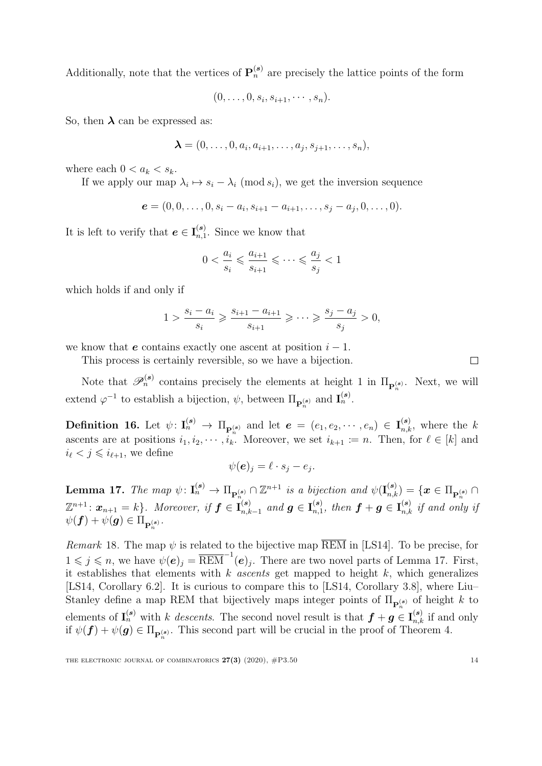Additionally, note that the vertices of  $\mathbf{P}_n^{(s)}$  are precisely the lattice points of the form

$$
(0,\ldots,0,s_i,s_{i+1},\cdots,s_n).
$$

So, then  $\lambda$  can be expressed as:

$$
\boldsymbol{\lambda}=(0,\ldots,0,a_i,a_{i+1},\ldots,a_j,s_{j+1},\ldots,s_n),
$$

where each  $0 < a_k < s_k$ .

If we apply our map  $\lambda_i \mapsto s_i - \lambda_i \pmod{s_i}$ , we get the inversion sequence

$$
\boldsymbol{e} = (0,0,\ldots,0,s_i-a_i,s_{i+1}-a_{i+1},\ldots,s_j-a_j,0,\ldots,0).
$$

It is left to verify that  $e \in I_{n,1}^{(s)}$  $n,1$ <sup>(8)</sup>. Since we know that

$$
0 < \frac{a_i}{s_i} \leqslant \frac{a_{i+1}}{s_{i+1}} \leqslant \cdots \leqslant \frac{a_j}{s_j} < 1
$$

which holds if and only if

$$
1>\frac{s_i-a_i}{s_i}\geqslant\frac{s_{i+1}-a_{i+1}}{s_{i+1}}\geqslant\cdots\geqslant\frac{s_j-a_j}{s_j}>0,
$$

we know that e contains exactly one ascent at position  $i - 1$ .

This process is certainly reversible, so we have a bijection.

Note that  $\mathscr{P}_n^{(s)}$  contains precisely the elements at height 1 in  $\Pi_{\mathbf{P}_n^{(s)}}$ . Next, we will extend  $\varphi^{-1}$  to establish a bijection,  $\psi$ , between  $\Pi_{\mathbf{P}_n^{(s)}}$  and  $\mathbf{I}_n^{(s)}$ .

<span id="page-14-1"></span>**Definition 16.** Let  $\psi: \mathbf{I}_n^{(s)} \to \Pi_{\mathbf{P}_n^{(s)}}$  and let  $\mathbf{e} = (e_1, e_2, \dots, e_n) \in \mathbf{I}_{n,k}^{(s)}$ , where the k ascents are at positions  $i_1, i_2, \cdots, i_k$ . Moreover, we set  $i_{k+1} := n$ . Then, for  $\ell \in [k]$  and  $i_{\ell} < j \leq i_{\ell+1}$ , we define

$$
\psi(\boldsymbol{e})_j = \ell \cdot s_j - e_j.
$$

<span id="page-14-0"></span>**Lemma 17.** The map  $\psi: \mathbf{I}_n^{(s)} \to \Pi_{\mathbf{P}_n^{(s)}} \cap \mathbb{Z}^{n+1}$  is a bijection and  $\psi(\mathbf{I}_{n,k}^{(s)}) = \{ \mathbf{x} \in \Pi_{\mathbf{P}_n^{(s)}} \cap \mathbb{Z}^{n+1} \}$  $\mathbb{Z}^{n+1}$ :  $\boldsymbol{x}_{n+1} = k$ }. Moreover, if  $\boldsymbol{f} \in \mathbf{I}_{n,k}^{(\boldsymbol{s})}$  $_{n,k-1}^{(s)}$  and  $\bm{g} \in \mathbf{I}_{n,1}^{(s)}$  $_{n,1}^{\left( s\right) },$  then  $\boldsymbol{f}+\boldsymbol{g}\in\mathbf{I}_{n,k}^{\left( s\right) }$  if and only if  $\psi(\mathbf{f}) + \psi(\mathbf{g}) \in \Pi_{\mathbf{P}_n^{(\mathbf{s})}}.$ 

*Remark* 18. The map  $\psi$  is related to the bijective map  $\overline{REM}$  in [\[LS14\]](#page-22-11). To be precise, for  $1 \leq j \leq n$ , we have  $\psi(e)_j = \overline{\text{REM}}^{-1}(e)_j$ . There are two novel parts of Lemma [17.](#page-14-0) First, it establishes that elements with  $k$  ascents get mapped to height  $k$ , which generalizes [\[LS14,](#page-22-11) Corollary 6.2]. It is curious to compare this to [\[LS14,](#page-22-11) Corollary 3.8], where Liu– Stanley define a map REM that bijectively maps integer points of  $\Pi_{\mathbf{P}_n^{(s)}}$  of height k to n elements of  $I_n^{(s)}$  with k descents. The second novel result is that  $f + g \in I_{n,k}^{(s)}$  if and only if  $\psi(\mathbf{f}) + \psi(\mathbf{g}) \in \Pi_{\mathbf{P}_n^{(\mathbf{s})}}$ . This second part will be crucial in the proof of Theorem [4.](#page-3-3)

 $\Box$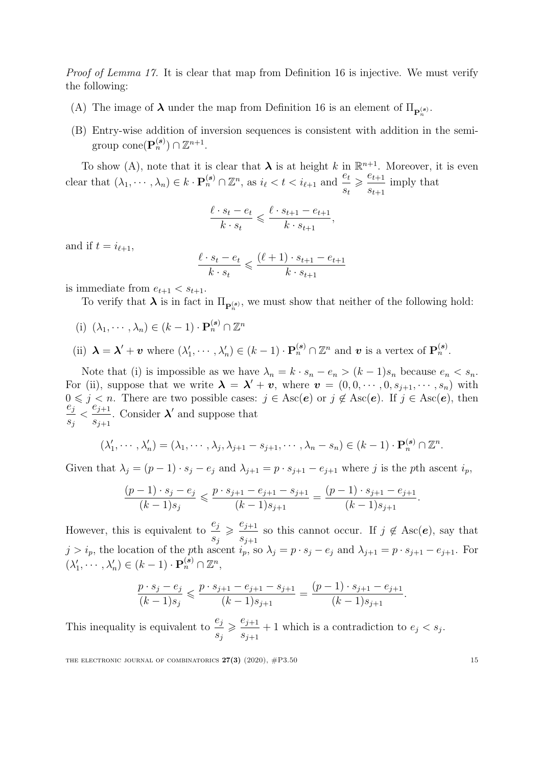Proof of Lemma [17.](#page-14-0) It is clear that map from Definition [16](#page-14-1) is injective. We must verify the following:

- (A) The image of  $\lambda$  under the map from Definition [16](#page-14-1) is an element of  $\Pi_{\mathbf{P}_n^{(s)}}$ .
- (B) Entry-wise addition of inversion sequences is consistent with addition in the semigroup  $cone(P_n^{(s)}) \cap \mathbb{Z}^{n+1}$ .

To show (A), note that it is clear that  $\lambda$  is at height k in  $\mathbb{R}^{n+1}$ . Moreover, it is even clear that  $(\lambda_1, \dots, \lambda_n) \in k \cdot \mathbf{P}_n^{(s)} \cap \mathbb{Z}^n$ , as  $i_{\ell} < t < i_{\ell+1}$  and  $\frac{e_t}{e_t}$  $s_t$  $\geq \frac{e_{t+1}}{e}$  $s_{t+1}$ imply that

$$
\frac{\ell \cdot s_t - e_t}{k \cdot s_t} \leqslant \frac{\ell \cdot s_{t+1} - e_{t+1}}{k \cdot s_{t+1}},
$$

and if  $t = i_{\ell+1}$ ,

$$
\frac{\ell \cdot s_t - e_t}{k \cdot s_t} \leq \frac{(\ell + 1) \cdot s_{t+1} - e_{t+1}}{k \cdot s_{t+1}}
$$

is immediate from  $e_{t+1} < s_{t+1}$ .

To verify that  $\lambda$  is in fact in  $\Pi_{\mathbf{P}_n^{(s)}}$ , we must show that neither of the following hold:

- (i)  $(\lambda_1, \cdots, \lambda_n) \in (k-1) \cdot \mathbf{P}_n^{(s)} \cap \mathbb{Z}^n$
- (ii)  $\mathbf{\lambda} = \mathbf{\lambda}' + \mathbf{v}$  where  $(\lambda'_1, \dots, \lambda'_n) \in (k-1) \cdot \mathbf{P}_n^{(s)} \cap \mathbb{Z}^n$  and  $\mathbf{v}$  is a vertex of  $\mathbf{P}_n^{(s)}$ .

Note that (i) is impossible as we have  $\lambda_n = k \cdot s_n - e_n > (k-1)s_n$  because  $e_n < s_n$ . For (ii), suppose that we write  $\lambda = \lambda' + v$ , where  $v = (0, 0, \dots, 0, s_{j+1}, \dots, s_n)$  with  $0 \leq j \leq n$ . There are two possible cases:  $j \in \text{Asc}(e)$  or  $j \notin \text{Asc}(e)$ . If  $j \in \text{Asc}(e)$ , then  $\stackrel{\circ}{e}_j$  $s_j$  $\lt \frac{e_{j+1}}{e}$  $s_{j+1}$ . Consider  $\lambda'$  and suppose that

$$
(\lambda'_1, \cdots, \lambda'_n) = (\lambda_1, \cdots, \lambda_j, \lambda_{j+1} - s_{j+1}, \cdots, \lambda_n - s_n) \in (k-1) \cdot \mathbf{P}_n^{(s)} \cap \mathbb{Z}^n.
$$

Given that  $\lambda_j = (p-1) \cdot s_j - e_j$  and  $\lambda_{j+1} = p \cdot s_{j+1} - e_{j+1}$  where j is the pth ascent  $i_p$ ,

$$
\frac{(p-1)\cdot s_j - e_j}{(k-1)s_j} \leqslant \frac{p\cdot s_{j+1} - e_{j+1} - s_{j+1}}{(k-1)s_{j+1}} = \frac{(p-1)\cdot s_{j+1} - e_{j+1}}{(k-1)s_{j+1}}.
$$

However, this is equivalent to  $\frac{e_j}{e_j}$  $s_j$  $\geqslant \frac{e_{j+1}}{e_j}$  $s_{j+1}$ so this cannot occur. If  $j \notin \text{Asc}(e)$ , say that  $j > i_p$ , the location of the pth ascent  $i_p$ , so  $\lambda_j = p \cdot s_j - e_j$  and  $\lambda_{j+1} = p \cdot s_{j+1} - e_{j+1}$ . For  $(\lambda'_1, \cdots, \lambda'_n) \in (k-1) \cdot \mathbf{P}_n^{(s)} \cap \mathbb{Z}^n,$ 

$$
\frac{p \cdot s_j - e_j}{(k-1)s_j} \leqslant \frac{p \cdot s_{j+1} - e_{j+1} - s_{j+1}}{(k-1)s_{j+1}} = \frac{(p-1) \cdot s_{j+1} - e_{j+1}}{(k-1)s_{j+1}}.
$$

This inequality is equivalent to  $\frac{e_j}{e_j}$  $s_j$  $\geqslant \frac{e_{j+1}}{e}$  $s_{j+1}$ + 1 which is a contradiction to  $e_j < s_j$ .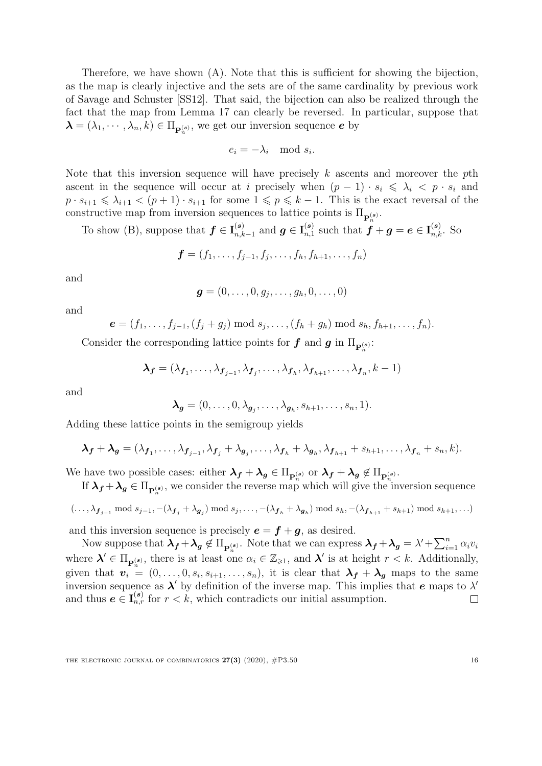Therefore, we have shown (A). Note that this is sufficient for showing the bijection, as the map is clearly injective and the sets are of the same cardinality by previous work of Savage and Schuster [\[SS12\]](#page-22-2). That said, the bijection can also be realized through the fact that the map from Lemma [17](#page-14-0) can clearly be reversed. In particular, suppose that  $\boldsymbol{\lambda} = (\lambda_1, \cdots, \lambda_n, k) \in \Pi_{\mathbf{P}_n^{(s)}}$ , we get our inversion sequence  $e$  by

$$
e_i = -\lambda_i \mod s_i.
$$

Note that this inversion sequence will have precisely  $k$  ascents and moreover the  $p$ th ascent in the sequence will occur at i precisely when  $(p - 1) \cdot s_i \leq \lambda_i < p \cdot s_i$  and  $p \cdot s_{i+1} \leq \lambda_{i+1} < (p+1) \cdot s_{i+1}$  for some  $1 \leq p \leq k-1$ . This is the exact reversal of the constructive map from inversion sequences to lattice points is  $\Pi_{\mathbf{P}_n^{(s)}}$ .

To show (B), suppose that  $f \in I_{n,k}^{(s)}$  $_{n,k-1}^{(s)}$  and  $\boldsymbol{g} \in \mathbf{I}_{n,1}^{(s)}$  $\mathbf{f}_{n,1}^{(s)}$  such that  $\boldsymbol{f} + \boldsymbol{g} = \boldsymbol{e} \in \mathbf{I}_{n,k}^{(s)}$ . So

$$
f = (f_1, \ldots, f_{j-1}, f_j, \ldots, f_h, f_{h+1}, \ldots, f_n)
$$

and

$$
\boldsymbol{g}=(0,\ldots,0,g_j,\ldots,g_h,0,\ldots,0)
$$

and

$$
e = (f_1, ..., f_{j-1}, (f_j + g_j) \text{ mod } s_j, ..., (f_h + g_h) \text{ mod } s_h, f_{h+1}, ..., f_n).
$$

Consider the corresponding lattice points for  $f$  and  $g$  in  $\Pi_{\mathbf{P}_n^{(s)}}$ :

$$
\boldsymbol{\lambda_f} = (\lambda_{\boldsymbol{f}_1}, \dots, \lambda_{\boldsymbol{f}_{j-1}}, \lambda_{\boldsymbol{f}_j}, \dots, \lambda_{\boldsymbol{f}_h}, \lambda_{\boldsymbol{f}_{h+1}}, \dots, \lambda_{\boldsymbol{f}_n}, k-1)
$$

and

$$
\boldsymbol{\lambda}_{g}=(0,\ldots,0,\lambda_{g_{j}},\ldots,\lambda_{g_{h}},s_{h+1},\ldots,s_{n},1).
$$

Adding these lattice points in the semigroup yields

$$
\lambda_f + \lambda_g = (\lambda_{f_1}, \ldots, \lambda_{f_{j-1}}, \lambda_{f_j} + \lambda_{g_j}, \ldots, \lambda_{f_h} + \lambda_{g_h}, \lambda_{f_{h+1}} + s_{h+1}, \ldots, \lambda_{f_n} + s_n, k).
$$

We have two possible cases: either  $\lambda_f + \lambda_g \in \Pi_{\mathbf{P}_n^{(s)}}$  or  $\lambda_f + \lambda_g \notin \Pi_{\mathbf{P}_n^{(s)}}$ .

If  $\lambda_f + \lambda_g \in \Pi_{\mathbf{P}_n^{(s)}}$ , we consider the reverse map which will give the inversion sequence

$$
(\ldots,\lambda_{\boldsymbol{f}_{j-1}}\bmod s_{j-1},-(\lambda_{\boldsymbol{f}_{j}}+\lambda_{\boldsymbol{g}_{j}})\bmod s_{j},\ldots,-(\lambda_{\boldsymbol{f}_{h}}+\lambda_{\boldsymbol{g}_{h}})\bmod s_{h},-(\lambda_{\boldsymbol{f}_{h+1}}+s_{h+1})\bmod s_{h+1},\ldots)
$$

and this inversion sequence is precisely  $e = f + g$ , as desired.

Now suppose that  $\lambda_f + \lambda_g \notin \Pi_{\mathbf{P}_n^{(s)}}$ . Note that we can express  $\lambda_f + \lambda_g = \lambda' + \sum_{i=1}^n \alpha_i v_i$ where  $\lambda' \in \Pi_{\mathbf{P}_n^{(s)}}$ , there is at least one  $\alpha_i \in \mathbb{Z}_{\geqslant 1}$ , and  $\lambda'$  is at height  $r < k$ . Additionally, given that  $\mathbf{v}_i = (0, \ldots, 0, s_i, s_{i+1}, \ldots, s_n)$ , it is clear that  $\lambda_f + \lambda_g$  maps to the same inversion sequence as  $\lambda'$  by definition of the inverse map. This implies that e maps to  $\lambda'$ and thus  $e \in I_{n,r}^{(s)}$  for  $r < k$ , which contradicts our initial assumption.  $\Box$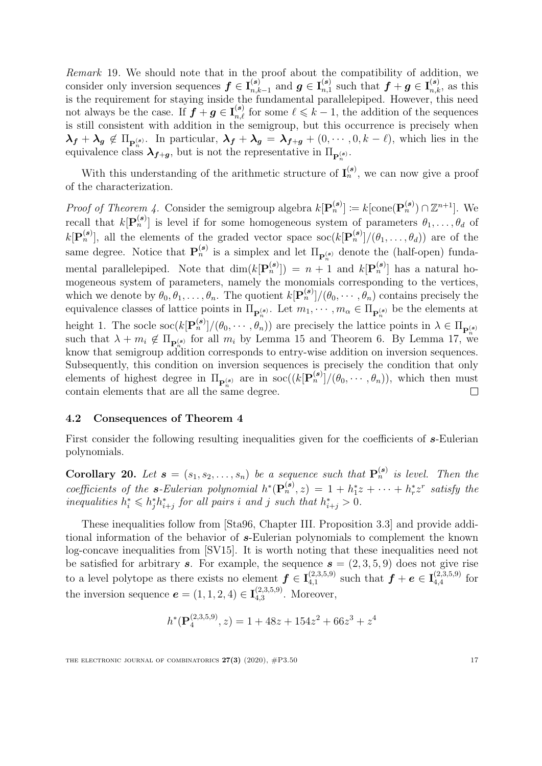Remark 19. We should note that in the proof about the compatibility of addition, we consider only inversion sequences  $f \in I_{n,k}^{(s)}$  $_{n,k-1}^{(s)}$  and  $\boldsymbol{g} \in \mathbf{I}_{n,1}^{(s)}$  $n, 1$  such that  $f + g \in I_{n,k}^{(s)}$ , as this is the requirement for staying inside the fundamental parallelepiped. However, this need not always be the case. If  $f + g \in I_{n,\ell}^{(s)}$  for some  $\ell \leq k-1$ , the addition of the sequences is still consistent with addition in the semigroup, but this occurrence is precisely when  $\lambda_f + \lambda_g \notin \Pi_{\mathbf{p}_n^{(s)}}$ . In particular,  $\lambda_f + \lambda_g = \lambda_{f+g} + (0, \dots, 0, k - \ell)$ , which lies in the equivalence class  $\lambda_{f+g}$ , but is not the representative in  $\Pi_{\mathbf{P}_n^{(s)}}$ .

With this understanding of the arithmetic structure of  $I_n^{(s)}$ , we can now give a proof of the characterization.

*Proof of Theorem [4.](#page-3-3)* Consider the semigroup algebra  $k[\mathbf{P}_n^{(s)}] := k[\text{cone}(\mathbf{P}_n^{(s)}) \cap \mathbb{Z}^{n+1}]$ . We recall that  $k[\mathbf{P}_n^{(s)}]$  is level if for some homogeneous system of parameters  $\theta_1, \ldots, \theta_d$  of  $k[\mathbf{P}_n^{(s)}]$ , all the elements of the graded vector space  $\text{soc}(k[\mathbf{P}_n^{(s)}]/(\theta_1,\ldots,\theta_d))$  are of the same degree. Notice that  $\mathbf{P}_n^{(s)}$  is a simplex and let  $\Pi_{\mathbf{P}_n^{(s)}}$  denote the (half-open) fundamental parallelepiped. Note that  $\dim(k[\mathbf{P}_n^{(s)}]) = n+1$  and  $k[\mathbf{P}_n^{(s)}]$  has a natural homogeneous system of parameters, namely the monomials corresponding to the vertices, which we denote by  $\theta_0, \theta_1, \ldots, \theta_n$ . The quotient  $k[\mathbf{P}_n^{(s)}]/(\theta_0, \cdots, \theta_n)$  contains precisely the equivalence classes of lattice points in  $\Pi_{\mathbf{P}_n^{(s)}}$ . Let  $m_1, \dots, m_\alpha \in \Pi_{\mathbf{P}_n^{(s)}}$  be the elements at height 1. The socle  $\text{soc}(k[\mathbf{P}_n^{(s)}]/(\theta_0, \cdots, \theta_n))$  are precisely the lattice points in  $\lambda \in \Pi_{\mathbf{P}_n^{(s)}}$ such that  $\lambda + m_i \notin \Pi_{\mathbf{P}_n^{(s)}}$  for all  $m_i$  by Lemma [15](#page-12-1) and Theorem [6.](#page-7-0) By Lemma [17,](#page-14-0) we know that semigroup addition corresponds to entry-wise addition on inversion sequences. Subsequently, this condition on inversion sequences is precisely the condition that only elements of highest degree in  $\Pi_{\mathbf{P}_n^{(s)}}$  are in  $\operatorname{soc}((k[\mathbf{P}_n^{(s)}]/(\theta_0, \cdots, \theta_n)),$  which then must contain elements that are all the same degree.  $\Box$ 

### 4.2 Consequences of Theorem [4](#page-3-3)

First consider the following resulting inequalities given for the coefficients of s-Eulerian polynomials.

**Corollary 20.** Let  $\mathbf{s} = (s_1, s_2, \ldots, s_n)$  be a sequence such that  $\mathbf{P}_n^{(\mathbf{s})}$  is level. Then the coefficients of the s-Eulerian polynomial  $h^*(\mathbf{P}_n^{(s)}, z) = 1 + h_1^*z + \cdots + h_r^*z^r$  satisfy the inequalities  $h_i^* \leq h_j^* h_{i+j}^*$  for all pairs i and j such that  $h_{i+j}^* > 0$ .

These inequalities follow from [\[Sta96,](#page-23-2) Chapter III. Proposition 3.3] and provide additional information of the behavior of s-Eulerian polynomials to complement the known log-concave inequalities from [\[SV15\]](#page-23-7). It is worth noting that these inequalities need not be satisfied for arbitrary s. For example, the sequence  $s = (2, 3, 5, 9)$  does not give rise to a level polytope as there exists no element  $f \in I_{4,1}^{(2,3,5,9)}$  $\mathcal{A}_{4,1}^{(2,3,5,9)} \text{ such that } \bm{f} + \bm{e} \in \mathbf{I}_{4,4}^{(2,3,5,9)}$  $f_{4,4}^{(2,3,9,9)}$  for the inversion sequence  $e = (1, 1, 2, 4) \in I_{4,3}^{(2,3,5,9)}$  $^{(2,3,5,9)}_{4,3}$ . Moreover,

$$
h^*(\mathbf{P}_4^{(2,3,5,9)}, z) = 1 + 48z + 154z^2 + 66z^3 + z^4
$$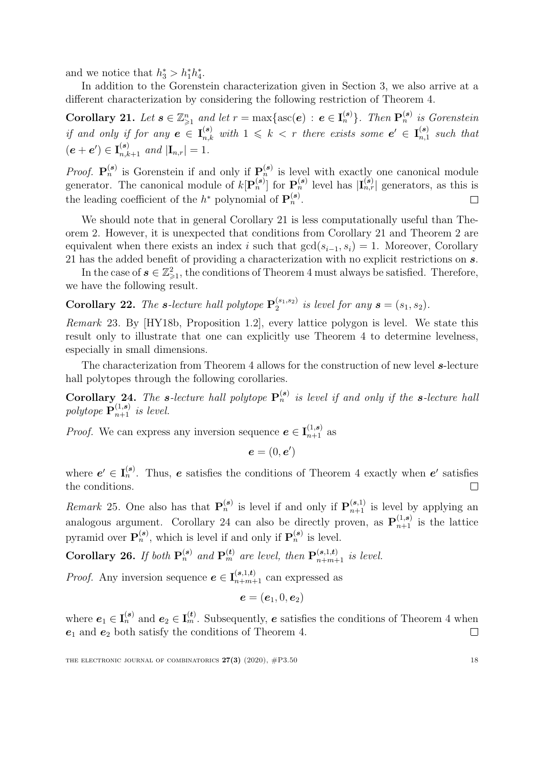and we notice that  $h_3^* > h_1^* h_4^*$ .

In addition to the Gorenstein characterization given in Section [3,](#page-8-0) we also arrive at a different characterization by considering the following restriction of Theorem [4.](#page-3-3)

<span id="page-18-0"></span>Corollary 21. Let  $s \in \mathbb{Z}_{\geqslant 1}^n$  and let  $r = \max\{\mathrm{asc}(e) : e \in I_n^{(s)}\}$ . Then  $\mathbf{P}_n^{(s)}$  is Gorenstein if and only if for any  $e \in I_{n,k}^{(s)}$  with  $1 \leq k < r$  there exists some  $e' \in I_{n,1}^{(s)}$  $\binom{s}{n,1}$  such that  $(e + e') \in I_{n,k+1}^{(s)}$  and  $|I_{n,r}| = 1$ .

*Proof.*  $P_n^{(s)}$  is Gorenstein if and only if  $P_n^{(s)}$  is level with exactly one canonical module generator. The canonical module of  $k[\mathbf{P}_n^{(s)}]$  for  $\mathbf{P}_n^{(s)}$  level has  $|\mathbf{I}_{n,r}^{(s)}|$  generators, as this is the leading coefficient of the  $h^*$  polynomial of  $\mathbf{P}_n^{(s)}$ .  $\Box$ 

We should note that in general Corollary [21](#page-18-0) is less computationally useful than Theorem [2.](#page-3-0) However, it is unexpected that conditions from Corollary [21](#page-18-0) and Theorem [2](#page-3-0) are equivalent when there exists an index i such that  $gcd(s_{i-1}, s_i) = 1$ . Moreover, Corollary [21](#page-18-0) has the added benefit of providing a characterization with no explicit restrictions on s.

In the case of  $s \in \mathbb{Z}_{\geqslant 1}^2$ , the conditions of Theorem [4](#page-3-3) must always be satisfied. Therefore, we have the following result.

<span id="page-18-3"></span>**Corollary 22.** The s-lecture hall polytope  $P_2^{(s_1,s_2)}$  $i_2^{(s_1, s_2)}$  is level for any  $\mathbf{s} = (s_1, s_2)$ .

Remark 23. By [\[HY18b,](#page-22-13) Proposition 1.2], every lattice polygon is level. We state this result only to illustrate that one can explicitly use Theorem [4](#page-3-3) to determine levelness, especially in small dimensions.

The characterization from Theorem [4](#page-3-3) allows for the construction of new level  $s$ -lecture hall polytopes through the following corollaries.

<span id="page-18-1"></span>**Corollary 24.** The s-lecture hall polytope  $P_n^{(s)}$  is level if and only if the s-lecture hall polytope  $\mathbf{P}_{n+1}^{(1,s)}$  is level.

*Proof.* We can express any inversion sequence  $e \in I_{n+1}^{(1,s)}$  as

 $e = (0, e')$ 

where  $e' \in I_n^{(s)}$ . Thus, e satisfies the conditions of Theorem [4](#page-3-3) exactly when e' satisfies the conditions.  $\Box$ 

*Remark* 25. One also has that  $\mathbf{P}_n^{(s)}$  is level if and only if  $\mathbf{P}_{n+1}^{(s,1)}$  is level by applying an analogous argument. Corollary [24](#page-18-1) can also be directly proven, as  $\mathbf{P}_{n+1}^{(1,s)}$  is the lattice pyramid over  $\mathbf{P}_n^{(s)}$ , which is level if and only if  $\mathbf{P}_n^{(s)}$  is level.

<span id="page-18-2"></span>Corollary 26. If both  $\mathbf{P}_n^{(s)}$  and  $\mathbf{P}_m^{(t)}$  are level, then  $\mathbf{P}_{n+m+1}^{(s,1,t)}$  is level.

*Proof.* Any inversion sequence  $e \in I_{n+m+1}^{(s,1,t)}$  can expressed as

$$
\boldsymbol{e}=(\boldsymbol{e}_1,0,\boldsymbol{e}_2)
$$

where  $e_1 \in I_n^{(s)}$  and  $e_2 \in I_m^{(t)}$ . Subsequently, e satisfies the conditions of Theorem [4](#page-3-3) when  $e_1$  and  $e_2$  both satisfy the conditions of Theorem [4.](#page-3-3)  $\Box$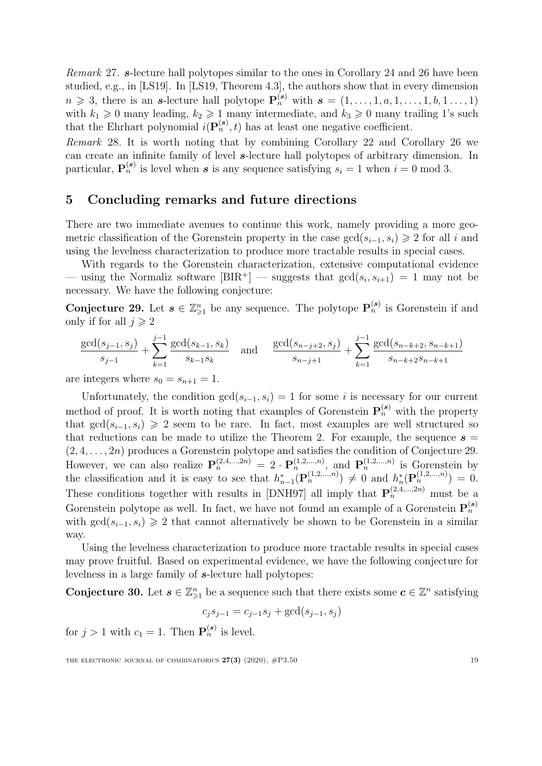Remark 27. s-lecture hall polytopes similar to the ones in Corollary [24](#page-18-1) and [26](#page-18-2) have been studied, e.g., in [\[LS19\]](#page-22-14). In [\[LS19,](#page-22-14) Theorem 4.3], the authors show that in every dimension  $n \geq 3$ , there is an s-lecture hall polytope  $\mathbf{P}_n^{(s)}$  with  $s = (1, \ldots, 1, a, 1, \ldots, 1, b, 1, \ldots, 1)$ with  $k_1 \geq 0$  many leading,  $k_2 \geq 1$  many intermediate, and  $k_3 \geq 0$  many trailing 1's such that the Ehrhart polynomial  $i(\mathbf{P}_n^{(s)}, t)$  has at least one negative coefficient.

Remark 28. It is worth noting that by combining Corollary [22](#page-18-3) and Corollary [26](#page-18-2) we can create an infinite family of level s-lecture hall polytopes of arbitrary dimension. In particular,  $\mathbf{P}_n^{(s)}$  is level when s is any sequence satisfying  $s_i = 1$  when  $i = 0 \mod 3$ .

## <span id="page-19-0"></span>5 Concluding remarks and future directions

There are two immediate avenues to continue this work, namely providing a more geometric classification of the Gorenstein property in the case  $gcd(s_{i-1}, s_i) \geq 2$  for all i and using the levelness characterization to produce more tractable results in special cases.

With regards to the Gorenstein characterization, extensive computational evidence — using the Normaliz software  $[**BIR**$ <sup>+</sup> $]$  — suggests that  $gcd(s_i, s_{i+1}) = 1$  may not be necessary. We have the following conjecture:

<span id="page-19-1"></span>**Conjecture 29.** Let  $s \in \mathbb{Z}_{\geqslant 1}^n$  be any sequence. The polytope  $\mathbf{P}_n^{(s)}$  is Gorenstein if and only if for all  $j \geq 2$ 

$$
\frac{\gcd(s_{j-1}, s_j)}{s_{j-1}} + \sum_{k=1}^{j-1} \frac{\gcd(s_{k-1}, s_k)}{s_{k-1}s_k} \quad \text{and} \quad \frac{\gcd(s_{n-j+2}, s_j)}{s_{n-j+1}} + \sum_{k=1}^{j-1} \frac{\gcd(s_{n-k+2}, s_{n-k+1})}{s_{n-k+2}s_{n-k+1}}
$$

are integers where  $s_0 = s_{n+1} = 1$ .

Unfortunately, the condition  $gcd(s_{i-1}, s_i) = 1$  for some i is necessary for our current method of proof. It is worth noting that examples of Gorenstein  $\mathbf{P}_n^{(s)}$  with the property that  $gcd(s_{i-1}, s_i) \geq 2$  seem to be rare. In fact, most examples are well structured so that reductions can be made to utilize the Theorem [2.](#page-3-0) For example, the sequence  $s =$  $(2, 4, \ldots, 2n)$  produces a Gorenstein polytope and satisfies the condition of Conjecture [29.](#page-19-1) However, we can also realize  $\mathbf{P}_n^{(2,4,\dots,2n)} = 2 \cdot \mathbf{P}_n^{(1,2,\dots,n)}$ , and  $\mathbf{P}_n^{(1,2,\dots,n)}$  is Gorenstein by the classification and it is easy to see that  $h_{n-1}^*(\mathbf{P}_n^{(1,2,...,n)}) \neq 0$  and  $h_n^*(\mathbf{P}_n^{(1,2,...,n)}) = 0$ . These conditions together with results in [\[DNH97\]](#page-21-0) all imply that  $\mathbf{P}_n^{(2,4,\dots,2n)}$  must be a Gorenstein polytope as well. In fact, we have not found an example of a Gorenstein  $\mathbf{P}_n^{(s)}$ with  $gcd(s_{i-1}, s_i) \geq 2$  that cannot alternatively be shown to be Gorenstein in a similar way.

Using the levelness characterization to produce more tractable results in special cases may prove fruitful. Based on experimental evidence, we have the following conjecture for levelness in a large family of s-lecture hall polytopes:

**Conjecture 30.** Let  $s \in \mathbb{Z}_{\geq 1}^n$  be a sequence such that there exists some  $c \in \mathbb{Z}^n$  satisfying

$$
c_j s_{j-1} = c_{j-1} s_j + \gcd(s_{j-1}, s_j)
$$

for  $j > 1$  with  $c_1 = 1$ . Then  $\mathbf{P}_n^{(s)}$  is level.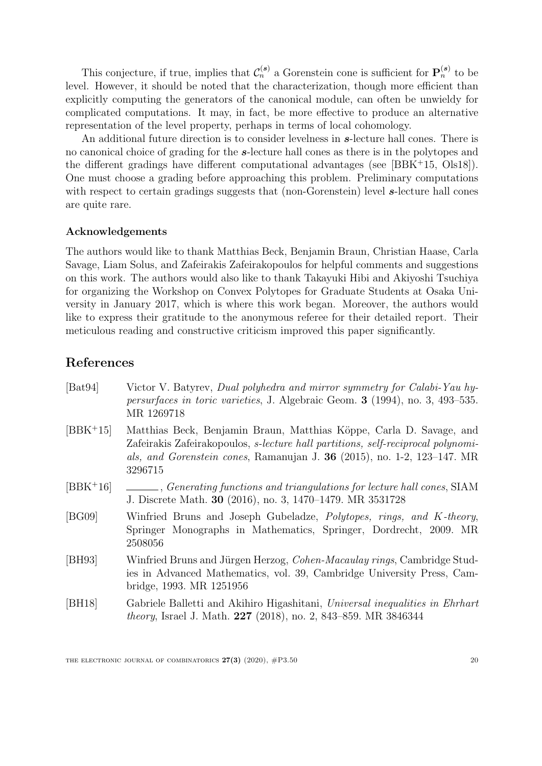This conjecture, if true, implies that  $\mathcal{C}_n^{(s)}$  a Gorenstein cone is sufficient for  $\mathbf{P}_n^{(s)}$  to be level. However, it should be noted that the characterization, though more efficient than explicitly computing the generators of the canonical module, can often be unwieldy for complicated computations. It may, in fact, be more effective to produce an alternative representation of the level property, perhaps in terms of local cohomology.

An additional future direction is to consider levelness in  $s$ -lecture hall cones. There is no canonical choice of grading for the s-lecture hall cones as there is in the polytopes and the different gradings have different computational advantages (see [\[BBK](#page-20-4)<sup>+</sup>15, [Ols18\]](#page-22-10)). One must choose a grading before approaching this problem. Preliminary computations with respect to certain gradings suggests that (non-Gorenstein) level s-lecture hall cones are quite rare.

### Acknowledgements

The authors would like to thank Matthias Beck, Benjamin Braun, Christian Haase, Carla Savage, Liam Solus, and Zafeirakis Zafeirakopoulos for helpful comments and suggestions on this work. The authors would also like to thank Takayuki Hibi and Akiyoshi Tsuchiya for organizing the Workshop on Convex Polytopes for Graduate Students at Osaka University in January 2017, which is where this work began. Moreover, the authors would like to express their gratitude to the anonymous referee for their detailed report. Their meticulous reading and constructive criticism improved this paper significantly.

### References

<span id="page-20-5"></span><span id="page-20-4"></span><span id="page-20-3"></span><span id="page-20-2"></span><span id="page-20-1"></span><span id="page-20-0"></span>

| [ <b>B</b> at94] | Victor V. Batyrev, Dual polyhedra and mirror symmetry for Calabi-Yau hy-<br><i>persurfaces in toric varieties</i> , J. Algebraic Geom. <b>3</b> (1994), no. 3, 493–535.<br>MR 1269718                                                                  |
|------------------|--------------------------------------------------------------------------------------------------------------------------------------------------------------------------------------------------------------------------------------------------------|
| $[BBK+15]$       | Matthias Beck, Benjamin Braun, Matthias Köppe, Carla D. Savage, and<br>Zafeirakis Zafeirakopoulos, <i>s-lecture hall partitions, self-reciprocal polynomi-</i><br>als, and Gorenstein cones, Ramanujan J. $36$ (2015), no. 1-2, 123-147. MR<br>3296715 |
| $[BBK+16]$       | Generating functions and triangulations for lecture hall cones, SIAM<br>J. Discrete Math. 30 (2016), no. 3, 1470–1479. MR 3531728                                                                                                                      |
| [BG09]           | Winfried Bruns and Joseph Gubeladze, Polytopes, rings, and K-theory.<br>Springer Monographs in Mathematics, Springer, Dordrecht, 2009. MR<br>2508056                                                                                                   |
| [BH93]           | Winfried Bruns and Jürgen Herzog, Cohen-Macaulay rings, Cambridge Stud-<br>ies in Advanced Mathematics, vol. 39, Cambridge University Press, Cam-<br>bridge, 1993. MR 1251956                                                                          |
| [BH18]           | Gabriele Balletti and Akihiro Higashitani, Universal inequalities in Ehrhard<br><i>theory</i> , Israel J. Math. 227 (2018), no. 2, 843–859. MR 3846344                                                                                                 |
|                  |                                                                                                                                                                                                                                                        |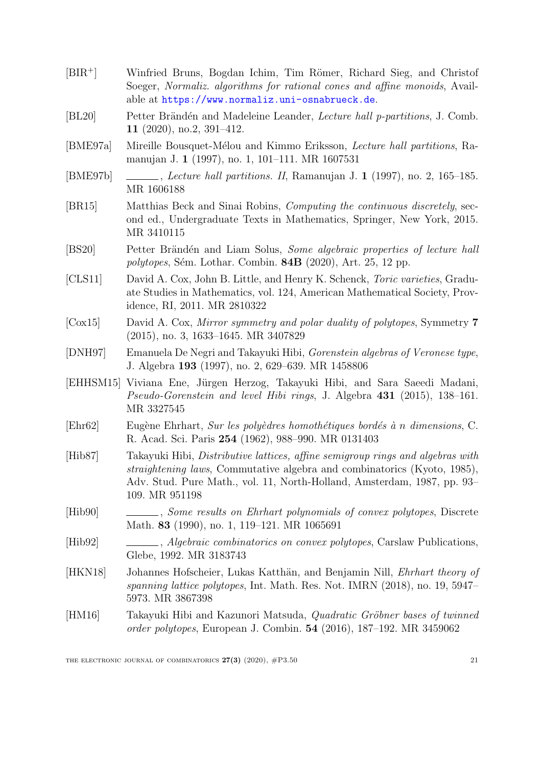- <span id="page-21-15"></span>[BIR<sup>+</sup>] Winfried Bruns, Bogdan Ichim, Tim Römer, Richard Sieg, and Christof Soeger, Normaliz. algorithms for rational cones and affine monoids, Available at <https://www.normaliz.uni-osnabrueck.de>.
- <span id="page-21-14"></span>[BL20] Petter Brändén and Madeleine Leander, *Lecture hall p-partitions*, J. Comb. 11 (2020), no.2, 391–412.
- <span id="page-21-6"></span>[BME97a] Mireille Bousquet-Mélou and Kimmo Eriksson, Lecture hall partitions, Ramanujan J. 1 (1997), no. 1, 101–111. MR 1607531
- <span id="page-21-7"></span>[BME97b] , Lecture hall partitions. II, Ramanujan J. 1 (1997), no. 2, 165–185. MR 1606188
- <span id="page-21-9"></span>[BR15] Matthias Beck and Sinai Robins, Computing the continuous discretely, second ed., Undergraduate Texts in Mathematics, Springer, New York, 2015. MR 3410115
- <span id="page-21-13"></span>[BS20] Petter Brändén and Liam Solus, Some algebraic properties of lecture hall  $polytopes$ , Sém. Lothar. Combin. 84B (2020), Art. 25, 12 pp.
- <span id="page-21-1"></span>[CLS11] David A. Cox, John B. Little, and Henry K. Schenck, Toric varieties, Graduate Studies in Mathematics, vol. 124, American Mathematical Society, Providence, RI, 2011. MR 2810322
- <span id="page-21-2"></span>[Cox15] David A. Cox, Mirror symmetry and polar duality of polytopes, Symmetry 7 (2015), no. 3, 1633–1645. MR 3407829
- <span id="page-21-0"></span>[DNH97] Emanuela De Negri and Takayuki Hibi, Gorenstein algebras of Veronese type, J. Algebra 193 (1997), no. 2, 629–639. MR 1458806
- <span id="page-21-5"></span>[EHHSM15] Viviana Ene, Jürgen Herzog, Takayuki Hibi, and Sara Saeedi Madani, Pseudo-Gorenstein and level Hibi rings, J. Algebra 431 (2015), 138–161. MR 3327545
- <span id="page-21-8"></span> $[Ehr62]$  Eugène Ehrhart, *Sur les polyèdres homothétiques bordés à n dimensions*, C. R. Acad. Sci. Paris 254 (1962), 988–990. MR 0131403
- <span id="page-21-3"></span>[Hib87] Takayuki Hibi, Distributive lattices, affine semigroup rings and algebras with straightening laws, Commutative algebra and combinatorics (Kyoto, 1985), Adv. Stud. Pure Math., vol. 11, North-Holland, Amsterdam, 1987, pp. 93– 109. MR 951198
- <span id="page-21-11"></span>[Hib90] , Some results on Ehrhart polynomials of convex polytopes, Discrete Math. **83** (1990), no. 1, 119–121. MR 1065691
- <span id="page-21-10"></span>[Hib92] , Algebraic combinatorics on convex polytopes, Carslaw Publications, Glebe, 1992. MR 3183743
- <span id="page-21-12"></span>[HKN18] Johannes Hofscheier, Lukas Katthän, and Benjamin Nill, *Ehrhart theory of* spanning lattice polytopes, Int. Math. Res. Not. IMRN (2018), no. 19, 5947– 5973. MR 3867398
- <span id="page-21-4"></span>[HM16] Takayuki Hibi and Kazunori Matsuda, *Quadratic Gröbner bases of twinned* order polytopes, European J. Combin. 54 (2016), 187–192. MR 3459062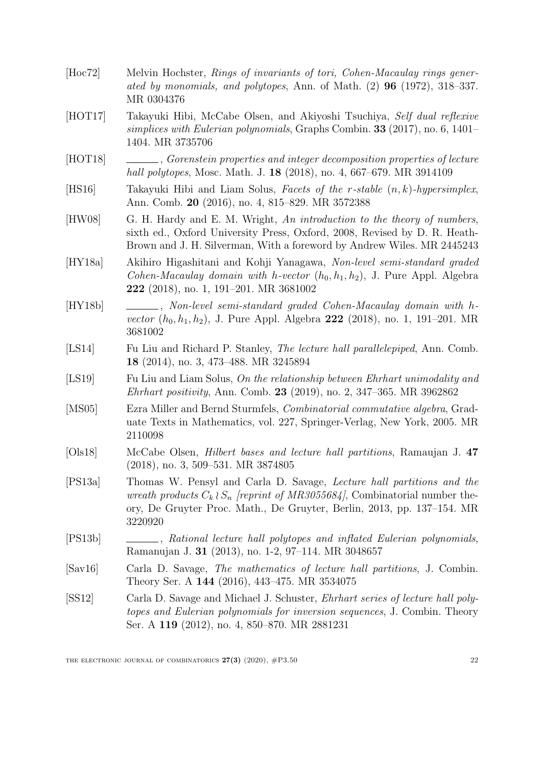<span id="page-22-14"></span><span id="page-22-13"></span><span id="page-22-12"></span><span id="page-22-11"></span><span id="page-22-10"></span><span id="page-22-9"></span><span id="page-22-8"></span><span id="page-22-7"></span><span id="page-22-6"></span><span id="page-22-5"></span><span id="page-22-4"></span><span id="page-22-3"></span><span id="page-22-2"></span><span id="page-22-1"></span><span id="page-22-0"></span>

| [Hoc72] | Melvin Hochster, Rings of invariants of tori, Cohen-Macaulay rings gener-<br>ated by monomials, and polytopes, Ann. of Math. $(2)$ 96 $(1972)$ , 318-337.<br>MR 0304376                                                                              |  |  |
|---------|------------------------------------------------------------------------------------------------------------------------------------------------------------------------------------------------------------------------------------------------------|--|--|
| [HOT17] | Takayuki Hibi, McCabe Olsen, and Akiyoshi Tsuchiya, Self dual reflexive<br>simplices with Eulerian polynomials, Graphs Combin. $33$ (2017), no. 6, 1401–<br>1404. MR 3735706                                                                         |  |  |
| [HOT18] | Governmental properties and integer decomposition properties of lecture<br>hall polytopes, Mosc. Math. J. 18 (2018), no. 4, 667–679. MR 3914109                                                                                                      |  |  |
| [HS16]  | Takayuki Hibi and Liam Solus, Facets of the r-stable $(n, k)$ -hypersimplex,<br>Ann. Comb. 20 (2016), no. 4, 815–829. MR 3572388                                                                                                                     |  |  |
| [HW08]  | G. H. Hardy and E. M. Wright, An introduction to the theory of numbers,<br>sixth ed., Oxford University Press, Oxford, 2008, Revised by D. R. Heath-<br>Brown and J. H. Silverman, With a foreword by Andrew Wiles. MR 2445243                       |  |  |
| [HY18a] | Akihiro Higashitani and Kohji Yanagawa, Non-level semi-standard graded<br>Cohen-Macaulay domain with h-vector $(h_0, h_1, h_2)$ , J. Pure Appl. Algebra<br>222 (2018), no. 1, 191-201. MR 3681002                                                    |  |  |
| [HY18b] | Non-level semi-standard graded Cohen-Macaulay domain with h-<br><i>vector</i> $(h_0, h_1, h_2)$ , J. Pure Appl. Algebra 222 (2018), no. 1, 191–201. MR<br>3681002                                                                                    |  |  |
| [LS14]  | Fu Liu and Richard P. Stanley, The lecture hall parallelepiped, Ann. Comb.<br><b>18</b> (2014), no. 3, 473–488. MR 3245894                                                                                                                           |  |  |
| [LS19]  | Fu Liu and Liam Solus, On the relationship between Ehrhart unimodality and<br><i>Ehrhart positivity</i> , Ann. Comb. 23 (2019), no. 2, 347–365. MR 3962862                                                                                           |  |  |
| [MS05]  | Ezra Miller and Bernd Sturmfels, <i>Combinatorial commutative algebra</i> , Grad-<br>uate Texts in Mathematics, vol. 227, Springer-Verlag, New York, 2005. MR<br>2110098                                                                             |  |  |
| [Ols18] | McCabe Olsen, <i>Hilbert bases and lecture hall partitions</i> , Ramaujan J. 47<br>$(2018)$ , no. 3, 509–531. MR 3874805                                                                                                                             |  |  |
| [PS13a] | Thomas W. Pensyl and Carla D. Savage, <i>Lecture hall partitions and the</i><br>wreath products $C_k \wr S_n$ (reprint of MR3055684), Combinatorial number the-<br>ory, De Gruyter Proc. Math., De Gruyter, Berlin, 2013, pp. 137–154. MR<br>3220920 |  |  |
| [PS13b] | ____, Rational lecture hall polytopes and inflated Eulerian polynomials,<br>Ramanujan J. 31 (2013), no. 1-2, 97-114. MR 3048657                                                                                                                      |  |  |
| [Sav16] | Carla D. Savage, The mathematics of lecture hall partitions, J. Combin.<br>Theory Ser. A 144 (2016), 443-475. MR 3534075                                                                                                                             |  |  |
| SS12    | Carla D. Savage and Michael J. Schuster, <i>Ehrhart series of lecture hall poly-</i><br>topes and Eulerian polynomials for inversion sequences, J. Combin. Theory<br>Ser. A 119 (2012), no. 4, 850–870. MR 2881231                                   |  |  |